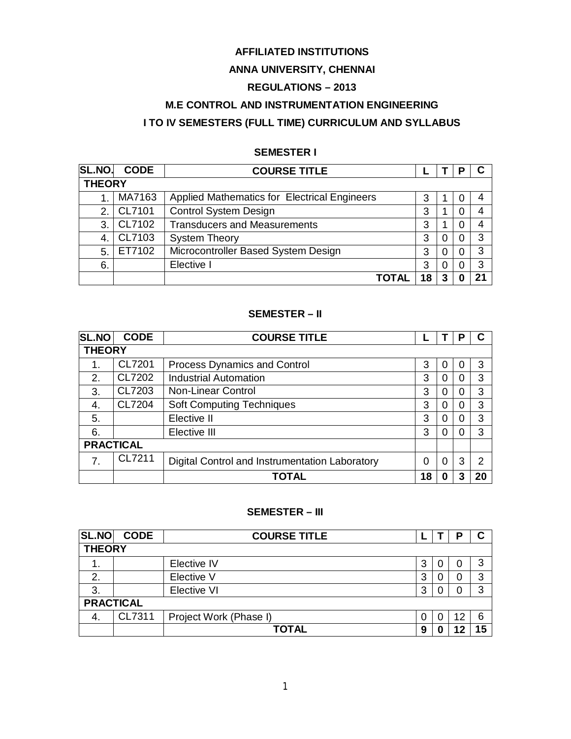# **AFFILIATED INSTITUTIONS**

# **ANNA UNIVERSITY, CHENNAI**

# **REGULATIONS – 2013**

# **M.E CONTROL AND INSTRUMENTATION ENGINEERING**

# **I TO IV SEMESTERS (FULL TIME) CURRICULUM AND SYLLABUS**

#### **SEMESTER I**

| <b>SL.NO</b>  | <b>CODE</b> | <b>COURSE TITLE</b>                                 |    |   | в |    |
|---------------|-------------|-----------------------------------------------------|----|---|---|----|
| <b>THEORY</b> |             |                                                     |    |   |   |    |
|               | MA7163      | <b>Applied Mathematics for Electrical Engineers</b> | 3  |   |   |    |
| 2.            | CL7101      | <b>Control System Design</b>                        | 3  |   |   |    |
| 3.            | CL7102      | <b>Transducers and Measurements</b>                 | 3  |   |   |    |
|               | CL7103      | <b>System Theory</b>                                | 3  |   |   | 3  |
| 5             | ET7102      | Microcontroller Based System Design                 | 3  | Ω |   | 3  |
| 6.            |             | Elective I                                          | 3  | 0 |   | 3  |
|               |             | <b>TOTAL</b>                                        | 18 | 3 |   | 21 |

# **SEMESTER – II**

| <b>SL.NO</b>     | <b>CODE</b> | <b>COURSE TITLE</b>                            |    |   | Р |    |
|------------------|-------------|------------------------------------------------|----|---|---|----|
| <b>THEORY</b>    |             |                                                |    |   |   |    |
| 1.               | CL7201      | <b>Process Dynamics and Control</b>            | 3  | 0 |   | 3  |
| 2.               | CL7202      | <b>Industrial Automation</b>                   | 3  | 0 |   | 3  |
| 3.               | CL7203      | <b>Non-Linear Control</b>                      | 3  | 0 |   | 3  |
| 4.               | CL7204      | <b>Soft Computing Techniques</b>               | 3  | 0 |   | 3  |
| 5.               |             | Elective II                                    | 3  | 0 |   | 3  |
| 6.               |             | Elective III                                   | 3  | 0 |   | 3  |
| <b>PRACTICAL</b> |             |                                                |    |   |   |    |
| 7.               | CL7211      | Digital Control and Instrumentation Laboratory | 0  | 0 | 3 | 2  |
|                  |             | TOTAL                                          | 18 | 0 |   | 20 |

# **SEMESTER – III**

| SL.NO            | <b>CODE</b>   | <b>COURSE TITLE</b>    |   |  |  |   |  |
|------------------|---------------|------------------------|---|--|--|---|--|
|                  | <b>THEORY</b> |                        |   |  |  |   |  |
| 1.               |               | Elective IV            | 3 |  |  | 3 |  |
| 2.               |               | Elective V             | 3 |  |  | 3 |  |
| 3.               |               | <b>Elective VI</b>     | 3 |  |  | 3 |  |
| <b>PRACTICAL</b> |               |                        |   |  |  |   |  |
| 4.               | CL7311        | Project Work (Phase I) |   |  |  | 6 |  |
|                  |               | <b>TOTAL</b>           | 9 |  |  |   |  |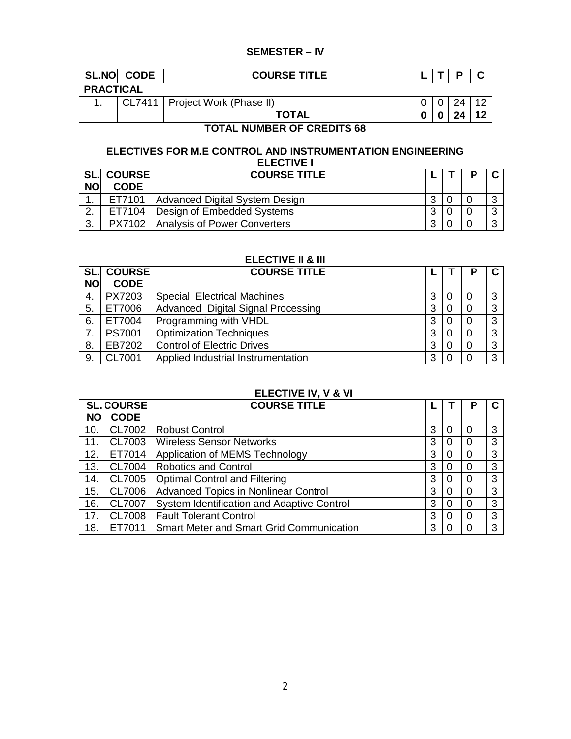# **SEMESTER – IV**

| <b>SL.NO</b> | <b>CODE</b>      | <b>COURSE TITLE</b>              |   |  | D  |  |
|--------------|------------------|----------------------------------|---|--|----|--|
|              | <b>PRACTICAL</b> |                                  |   |  |    |  |
|              |                  | CL7411   Project Work (Phase II) |   |  |    |  |
|              |                  | <b>TOTAL</b>                     | 0 |  | e. |  |

# **TOTAL NUMBER OF CREDITS 68**

# **ELECTIVES FOR M.E CONTROL AND INSTRUMENTATION ENGINEERING ELECTIVE I**

|                    | <b>SL. COURSE</b> | <b>COURSE TITLE</b>                          |   |  |  |
|--------------------|-------------------|----------------------------------------------|---|--|--|
| <b>NO</b>          | <b>CODE</b>       |                                              |   |  |  |
|                    | ET7101            | Advanced Digital System Design               | າ |  |  |
| $\sim$             | ET7104            | Design of Embedded Systems                   | ົ |  |  |
| $\mathbf{r}$<br>J. |                   | <b>PX7102</b>   Analysis of Power Converters | ົ |  |  |

# **ELECTIVE II & III**

| SL.       | <b>COURSE</b> | <b>COURSE TITLE</b>                |   |    |          |
|-----------|---------------|------------------------------------|---|----|----------|
| <b>NO</b> | <b>CODE</b>   |                                    |   |    |          |
| 4.        | PX7203        | <b>Special Electrical Machines</b> | 3 | 0  | ົ        |
| 5.        | ET7006        | Advanced Digital Signal Processing | 3 | 0  | ີ        |
| 6.        | ET7004        | Programming with VHDL              | 3 | -0 | ົ        |
|           | <b>PS7001</b> | <b>Optimization Techniques</b>     | 3 | 0  | $\Omega$ |
| 8.        | EB7202        | <b>Control of Electric Drives</b>  | 3 | 0  | ◠        |
| 9.        | <b>CL7001</b> | Applied Industrial Instrumentation | 3 |    | ્ર       |

# **ELECTIVE IV, V & VI**

|     | <b>SL. COURSE</b> | <b>COURSE TITLE</b>                             |   |   |          |   |
|-----|-------------------|-------------------------------------------------|---|---|----------|---|
| NΟ  | <b>CODE</b>       |                                                 |   |   |          |   |
| 10. | CL7002            | <b>Robust Control</b>                           | 3 | 0 | $\Omega$ | 3 |
| 11. | CL7003            | <b>Wireless Sensor Networks</b>                 | 3 | 0 | 0        | 3 |
| 12. | ET7014            | Application of MEMS Technology                  | 3 | 0 | 0        | 3 |
| 13. | CL7004            | <b>Robotics and Control</b>                     | 3 | 0 | $\Omega$ | 3 |
| 14. | CL7005            | <b>Optimal Control and Filtering</b>            | 3 | 0 | 0        | 3 |
| 15. | CL7006            | <b>Advanced Topics in Nonlinear Control</b>     | 3 | 0 | 0        | 3 |
| 16. | <b>CL7007</b>     | System Identification and Adaptive Control      | 3 | 0 | 0        | 3 |
| 17. | <b>CL7008</b>     | <b>Fault Tolerant Control</b>                   | 3 | 0 | 0        | 3 |
| 18. | ET7011            | <b>Smart Meter and Smart Grid Communication</b> | 3 |   |          | 3 |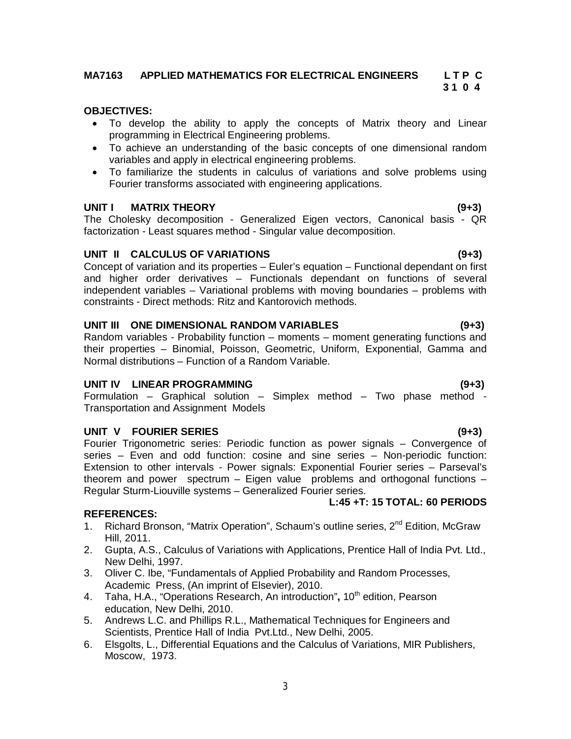## **MA7163 APPLIED MATHEMATICS FOR ELECTRICAL ENGINEERS L T P C 3 1 0 4**

# **OBJECTIVES:**

- To develop the ability to apply the concepts of Matrix theory and Linear programming in Electrical Engineering problems.
- To achieve an understanding of the basic concepts of one dimensional random variables and apply in electrical engineering problems.
- To familiarize the students in calculus of variations and solve problems using Fourier transforms associated with engineering applications.

#### **UNIT I MATRIX THEORY (9+3)**

The Cholesky decomposition - Generalized Eigen vectors, Canonical basis - QR factorization - Least squares method - Singular value decomposition.

# **UNIT II CALCULUS OF VARIATIONS (9+3)**

Concept of variation and its properties – Euler's equation – Functional dependant on first and higher order derivatives – Functionals dependant on functions of several independent variables – Variational problems with moving boundaries – problems with constraints - Direct methods: Ritz and Kantorovich methods.

# **UNIT III ONE DIMENSIONAL RANDOM VARIABLES (9+3)**

Random variables - Probability function – moments – moment generating functions and their properties – Binomial, Poisson, Geometric, Uniform, Exponential, Gamma and Normal distributions – Function of a Random Variable.

# **UNIT IV LINEAR PROGRAMMING (9+3)**

Formulation – Graphical solution – Simplex method – Two phase method - Transportation and Assignment Models

# **UNIT V FOURIER SERIES (9+3)**

Fourier Trigonometric series: Periodic function as power signals – Convergence of series – Even and odd function: cosine and sine series – Non-periodic function: Extension to other intervals - Power signals: Exponential Fourier series – Parseval's theorem and power spectrum – Eigen value problems and orthogonal functions – Regular Sturm-Liouville systems – Generalized Fourier series.

#### **REFERENCES:**

- 1. Richard Bronson, "Matrix Operation", Schaum's outline series, 2<sup>nd</sup> Edition, McGraw Hill, 2011.
- 2. Gupta, A.S., Calculus of Variations with Applications, Prentice Hall of India Pvt. Ltd., New Delhi, 1997.
- 3. Oliver C. Ibe, "Fundamentals of Applied Probability and Random Processes, Academic Press, (An imprint of Elsevier), 2010.
- 4. Taha, H.A., "Operations Research, An introduction", 10<sup>th</sup> edition, Pearson education, New Delhi, 2010.
- 5. Andrews L.C. and Phillips R.L., Mathematical Techniques for Engineers and Scientists, Prentice Hall of India Pvt.Ltd., New Delhi, 2005.
- 6. Elsgolts, L., Differential Equations and the Calculus of Variations, MIR Publishers, Moscow, 1973.

**L:45 +T: 15 TOTAL: 60 PERIODS**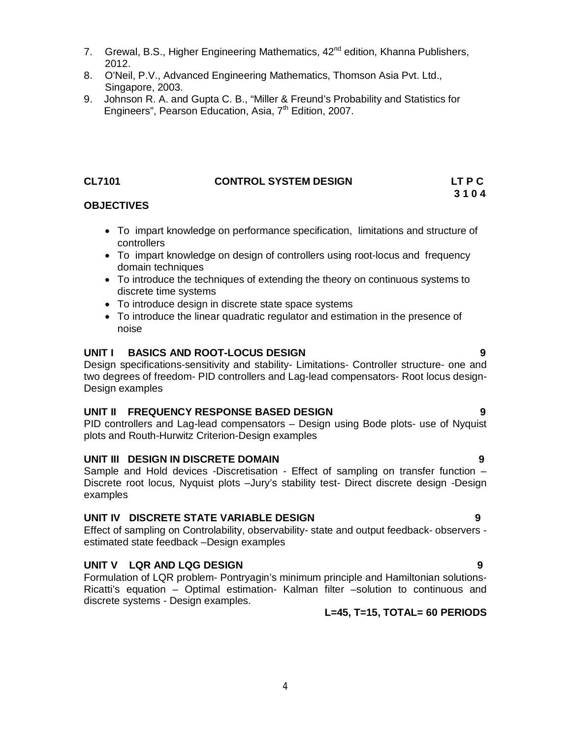- 7. Grewal, B.S., Higher Engineering Mathematics, 42<sup>nd</sup> edition, Khanna Publishers, 2012.
- 8. O'Neil, P.V., Advanced Engineering Mathematics, Thomson Asia Pvt. Ltd., Singapore, 2003.
- 9. Johnson R. A. and Gupta C. B., "Miller & Freund's Probability and Statistics for Engineers", Pearson Education, Asia, 7<sup>th</sup> Edition, 2007.

### **CL7101 CONTROL SYSTEM DESIGN LT P C**

# **3 1 0 4**

# **OBJECTIVES**

- To impart knowledge on performance specification, limitations and structure of controllers
- To impart knowledge on design of controllers using root-locus and frequency domain techniques
- To introduce the techniques of extending the theory on continuous systems to discrete time systems
- To introduce design in discrete state space systems
- To introduce the linear quadratic regulator and estimation in the presence of noise

### **UNIT I BASICS AND ROOT-LOCUS DESIGN 9**

Design specifications-sensitivity and stability- Limitations- Controller structure- one and two degrees of freedom- PID controllers and Lag-lead compensators- Root locus design-Design examples

# **UNIT II FREQUENCY RESPONSE BASED DESIGN 9**

PID controllers and Lag-lead compensators – Design using Bode plots- use of Nyquist plots and Routh-Hurwitz Criterion-Design examples

#### **UNIT III DESIGN IN DISCRETE DOMAIN 9**

Sample and Hold devices -Discretisation - Effect of sampling on transfer function – Discrete root locus, Nyquist plots –Jury's stability test- Direct discrete design -Design examples

# **UNIT IV DISCRETE STATE VARIABLE DESIGN 9**

Effect of sampling on Controlability, observability- state and output feedback- observers estimated state feedback –Design examples

# **UNIT V LQR AND LQG DESIGN 9**

Formulation of LQR problem- Pontryagin's minimum principle and Hamiltonian solutions-Ricatti's equation – Optimal estimation- Kalman filter –solution to continuous and discrete systems - Design examples.

# **L=45, T=15, TOTAL= 60 PERIODS**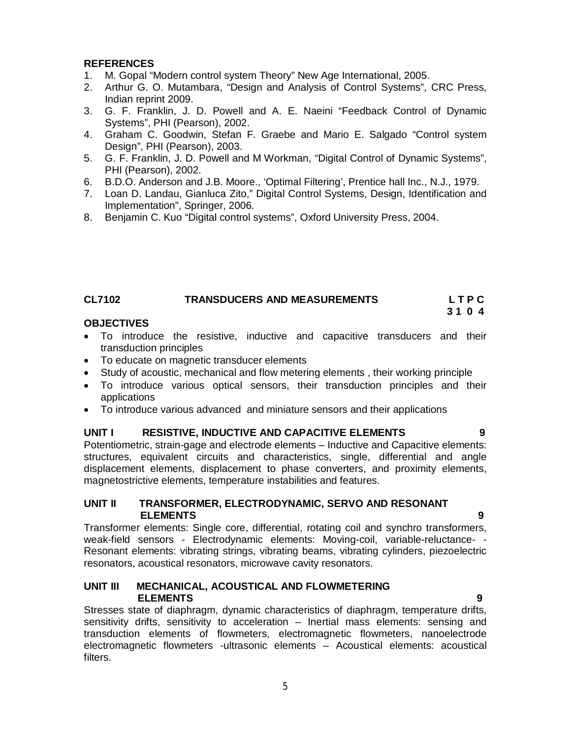# **REFERENCES**

- 1. M. Gopal "Modern control system Theory" New Age International, 2005.
- 2. Arthur G. O. Mutambara, "Design and Analysis of Control Systems", CRC Press, Indian reprint 2009.
- 3. G. F. Franklin, J. D. Powell and A. E. Naeini "Feedback Control of Dynamic Systems", PHI (Pearson), 2002.
- 4. Graham C. Goodwin, Stefan F. Graebe and Mario E. Salgado "Control system Design", PHI (Pearson), 2003.
- 5. G. F. Franklin, J. D. Powell and M Workman, "Digital Control of Dynamic Systems", PHI (Pearson), 2002.
- 6. B.D.O. Anderson and J.B. Moore., 'Optimal Filtering', Prentice hall Inc., N.J., 1979.
- 7. Loan D. Landau, Gianluca Zito," Digital Control Systems, Design, Identification and Implementation", Springer, 2006.
- 8. Benjamin C. Kuo "Digital control systems", Oxford University Press, 2004.

# **CL7102 TRANSDUCERS AND MEASUREMENTS L T P C**

 **3 1 0 4**

### **OBJECTIVES**

- To introduce the resistive, inductive and capacitive transducers and their transduction principles
- To educate on magnetic transducer elements
- Study of acoustic, mechanical and flow metering elements , their working principle
- To introduce various optical sensors, their transduction principles and their applications
- To introduce various advanced and miniature sensors and their applications

### **UNIT I RESISTIVE, INDUCTIVE AND CAPACITIVE ELEMENTS 9**

Potentiometric, strain-gage and electrode elements – Inductive and Capacitive elements: structures, equivalent circuits and characteristics, single, differential and angle displacement elements, displacement to phase converters, and proximity elements, magnetostrictive elements, temperature instabilities and features.

#### **UNIT II TRANSFORMER, ELECTRODYNAMIC, SERVO AND RESONANT ELEMENTS 9**

Transformer elements: Single core, differential, rotating coil and synchro transformers, weak-field sensors - Electrodynamic elements: Moving-coil, variable-reluctance- - Resonant elements: vibrating strings, vibrating beams, vibrating cylinders, piezoelectric resonators, acoustical resonators, microwave cavity resonators.

#### **UNIT III MECHANICAL, ACOUSTICAL AND FLOWMETERING ELEMENTS 9**

Stresses state of diaphragm, dynamic characteristics of diaphragm, temperature drifts, sensitivity drifts, sensitivity to acceleration – Inertial mass elements: sensing and transduction elements of flowmeters, electromagnetic flowmeters, nanoelectrode electromagnetic flowmeters -ultrasonic elements – Acoustical elements: acoustical filters.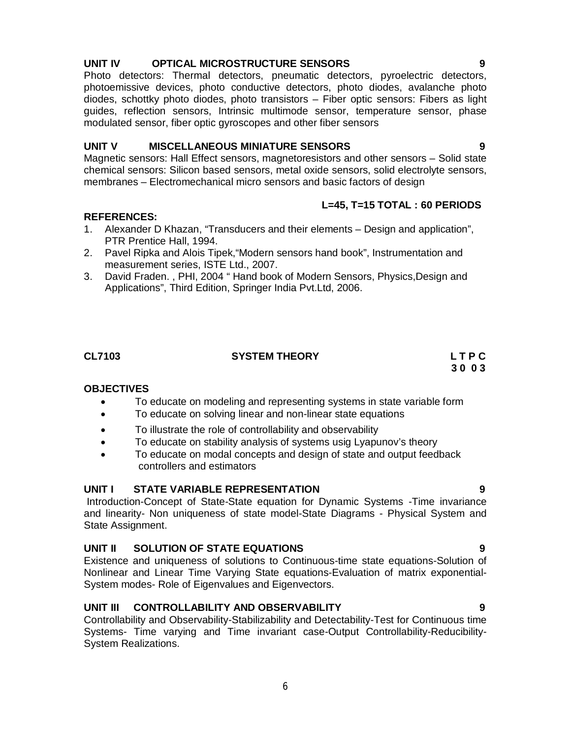# **UNIT IV OPTICAL MICROSTRUCTURE SENSORS 9**

Photo detectors: Thermal detectors, pneumatic detectors, pyroelectric detectors, photoemissive devices, photo conductive detectors, photo diodes, avalanche photo diodes, schottky photo diodes, photo transistors – Fiber optic sensors: Fibers as light guides, reflection sensors, Intrinsic multimode sensor, temperature sensor, phase modulated sensor, fiber optic gyroscopes and other fiber sensors

### **UNIT V MISCELLANEOUS MINIATURE SENSORS 9**

Magnetic sensors: Hall Effect sensors, magnetoresistors and other sensors – Solid state chemical sensors: Silicon based sensors, metal oxide sensors, solid electrolyte sensors, membranes – Electromechanical micro sensors and basic factors of design

### **REFERENCES:**

- 1. Alexander D Khazan, "Transducers and their elements Design and application", PTR Prentice Hall, 1994.
- 2. Pavel Ripka and Alois Tipek,"Modern sensors hand book", Instrumentation and measurement series, ISTE Ltd., 2007.
- 3. David Fraden. , PHI, 2004 " Hand book of Modern Sensors, Physics,Design and Applications", Third Edition, Springer India Pvt.Ltd, 2006.

# **OBJECTIVES**

- To educate on modeling and representing systems in state variable form
- To educate on solving linear and non-linear state equations
- To illustrate the role of controllability and observability
- To educate on stability analysis of systems usig Lyapunov's theory
- To educate on modal concepts and design of state and output feedback controllers and estimators

# **UNIT I STATE VARIABLE REPRESENTATION 9**

Introduction-Concept of State-State equation for Dynamic Systems -Time invariance and linearity- Non uniqueness of state model-State Diagrams - Physical System and State Assignment.

# **UNIT II SOLUTION OF STATE EQUATIONS 9**

Existence and uniqueness of solutions to Continuous-time state equations-Solution of Nonlinear and Linear Time Varying State equations-Evaluation of matrix exponential-System modes- Role of Eigenvalues and Eigenvectors.

# **UNIT III CONTROLLABILITY AND OBSERVABILITY 9**

Controllability and Observability-Stabilizability and Detectability-Test for Continuous time Systems- Time varying and Time invariant case-Output Controllability-Reducibility-System Realizations.

# **L=45, T=15 TOTAL : 60 PERIODS**

#### **CL7103 SYSTEM THEORY L T P C 3 0 0 3**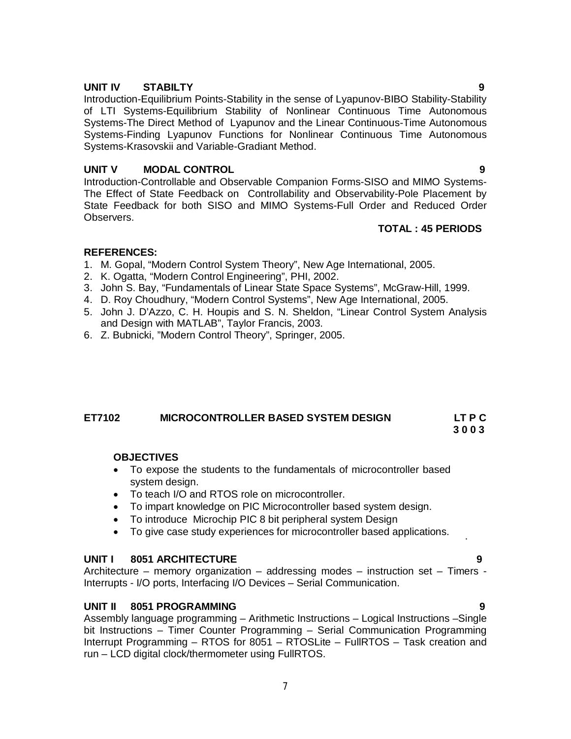### **UNIT IV STABILTY 9**

Introduction-Equilibrium Points-Stability in the sense of Lyapunov-BIBO Stability-Stability of LTI Systems-Equilibrium Stability of Nonlinear Continuous Time Autonomous Systems-The Direct Method of Lyapunov and the Linear Continuous-Time Autonomous Systems-Finding Lyapunov Functions for Nonlinear Continuous Time Autonomous Systems-Krasovskii and Variable-Gradiant Method.

# **UNIT V MODAL CONTROL 9**

Introduction-Controllable and Observable Companion Forms-SISO and MIMO Systems-The Effect of State Feedback on Controllability and Observability-Pole Placement by State Feedback for both SISO and MIMO Systems-Full Order and Reduced Order Observers.

### **TOTAL : 45 PERIODS**

### **REFERENCES:**

- 1. M. Gopal, "Modern Control System Theory", New Age International, 2005.
- 2. K. Ogatta, "Modern Control Engineering", PHI, 2002.
- 3. John S. Bay, "Fundamentals of Linear State Space Systems", McGraw-Hill, 1999.
- 4. D. Roy Choudhury, "Modern Control Systems", New Age International, 2005.
- 5. John J. D'Azzo, C. H. Houpis and S. N. Sheldon, "Linear Control System Analysis and Design with MATLAB", Taylor Francis, 2003.
- 6. Z. Bubnicki, "Modern Control Theory", Springer, 2005.

# **ET7102 MICROCONTROLLER BASED SYSTEM DESIGN LT P C**

 **3 0 0 3**

.

#### **OBJECTIVES**

- To expose the students to the fundamentals of microcontroller based system design.
- To teach I/O and RTOS role on microcontroller.
- To impart knowledge on PIC Microcontroller based system design.
- To introduce Microchip PIC 8 bit peripheral system Design
- To give case study experiences for microcontroller based applications.

#### **UNIT I 8051 ARCHITECTURE 9**

Architecture – memory organization – addressing modes – instruction set – Timers - Interrupts - I/O ports, Interfacing I/O Devices – Serial Communication.

#### **UNIT II 8051 PROGRAMMING 9**

Assembly language programming – Arithmetic Instructions – Logical Instructions –Single bit Instructions – Timer Counter Programming – Serial Communication Programming Interrupt Programming – RTOS for 8051 – RTOSLite – FullRTOS – Task creation and run – LCD digital clock/thermometer using FullRTOS.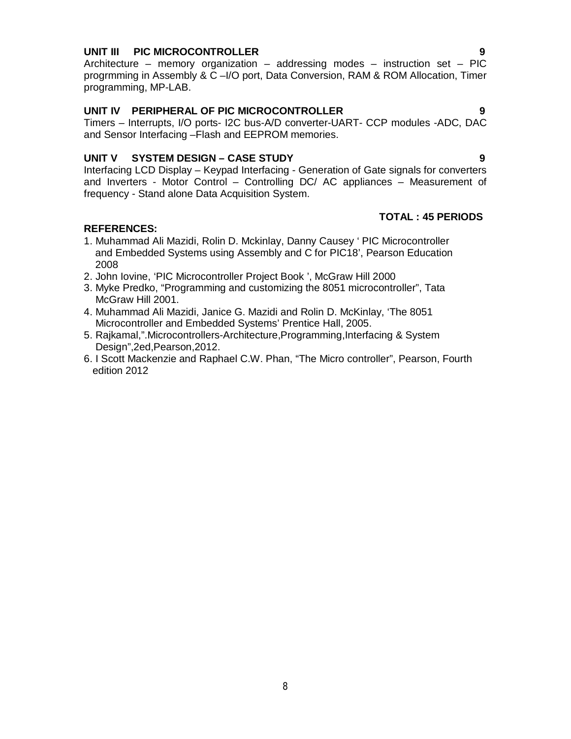## **UNIT III PIC MICROCONTROLLER 9**

Architecture – memory organization – addressing modes – instruction set – PIC progrmming in Assembly & C –I/O port, Data Conversion, RAM & ROM Allocation, Timer programming, MP-LAB.

# **UNIT IV PERIPHERAL OF PIC MICROCONTROLLER 9**

Timers – Interrupts, I/O ports- I2C bus-A/D converter-UART- CCP modules -ADC, DAC and Sensor Interfacing –Flash and EEPROM memories.

# **UNIT V SYSTEM DESIGN – CASE STUDY 9**

Interfacing LCD Display – Keypad Interfacing - Generation of Gate signals for converters and Inverters - Motor Control – Controlling DC/ AC appliances – Measurement of frequency - Stand alone Data Acquisition System.

# **REFERENCES:**

# **TOTAL : 45 PERIODS**

- 1. Muhammad Ali Mazidi, Rolin D. Mckinlay, Danny Causey ' PIC Microcontroller and Embedded Systems using Assembly and C for PIC18', Pearson Education 2008
- 2. John Iovine, 'PIC Microcontroller Project Book ', McGraw Hill 2000
- 3. Myke Predko, "Programming and customizing the 8051 microcontroller", Tata McGraw Hill 2001.
- 4. Muhammad Ali Mazidi, Janice G. Mazidi and Rolin D. McKinlay, 'The 8051 Microcontroller and Embedded Systems' Prentice Hall, 2005.
- 5. Rajkamal,".Microcontrollers-Architecture,Programming,Interfacing & System Design",2ed,Pearson,2012.
- 6. I Scott Mackenzie and Raphael C.W. Phan, "The Micro controller", Pearson, Fourth edition 2012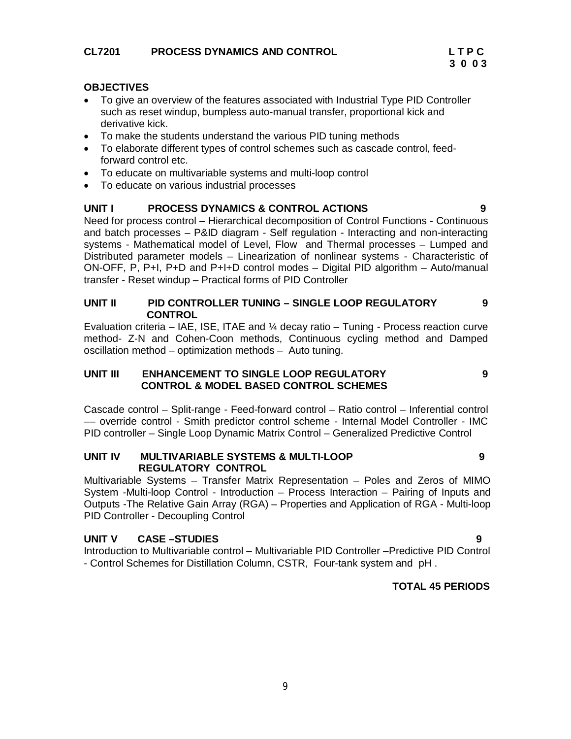# **CL7201 PROCESS DYNAMICS AND CONTROL L T P C**

## **OBJECTIVES**

- To give an overview of the features associated with Industrial Type PID Controller such as reset windup, bumpless auto-manual transfer, proportional kick and derivative kick.
- To make the students understand the various PID tuning methods
- To elaborate different types of control schemes such as cascade control, feedforward control etc.
- To educate on multivariable systems and multi-loop control
- To educate on various industrial processes

### **UNIT I PROCESS DYNAMICS & CONTROL ACTIONS 9**

Need for process control – Hierarchical decomposition of Control Functions - Continuous and batch processes – P&ID diagram - Self regulation - Interacting and non-interacting systems - Mathematical model of Level, Flow and Thermal processes – Lumped and Distributed parameter models – Linearization of nonlinear systems - Characteristic of ON-OFF, P, P+I, P+D and P+I+D control modes – Digital PID algorithm – Auto/manual transfer - Reset windup – Practical forms of PID Controller

#### **UNIT II PID CONTROLLER TUNING – SINGLE LOOP REGULATORY CONTROL 9**

Evaluation criteria – IAE, ISE, ITAE and  $\frac{1}{4}$  decay ratio – Tuning - Process reaction curve method- Z-N and Cohen-Coon methods, Continuous cycling method and Damped oscillation method – optimization methods – Auto tuning.

#### **UNIT III ENHANCEMENT TO SINGLE LOOP REGULATORY CONTROL & MODEL BASED CONTROL SCHEMES**

Cascade control – Split-range - Feed-forward control – Ratio control – Inferential control –– override control - Smith predictor control scheme - Internal Model Controller - IMC PID controller – Single Loop Dynamic Matrix Control – Generalized Predictive Control

### **UNIT IV MULTIVARIABLE SYSTEMS & MULTI-LOOP REGULATORY CONTROL**

Multivariable Systems – Transfer Matrix Representation – Poles and Zeros of MIMO System -Multi-loop Control - Introduction – Process Interaction – Pairing of Inputs and Outputs -The Relative Gain Array (RGA) – Properties and Application of RGA - Multi-loop PID Controller - Decoupling Control

# **UNIT V CASE –STUDIES 9**

Introduction to Multivariable control – Multivariable PID Controller –Predictive PID Control - Control Schemes for Distillation Column, CSTR, Four-tank system and pH .

# **TOTAL 45 PERIODS**

 **9**

**9**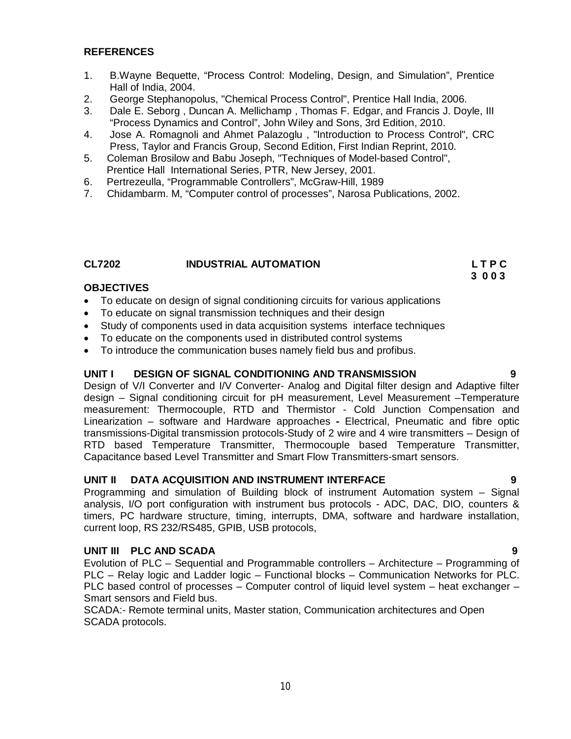### **REFERENCES**

- 1. B.Wayne Bequette, "Process Control: Modeling, Design, and Simulation", Prentice Hall of India, 2004.
- 2. George Stephanopolus, "Chemical Process Control", Prentice Hall India, 2006.
- 3. Dale E. Seborg , Duncan A. Mellichamp , Thomas F. Edgar, and Francis J. Doyle, III "Process Dynamics and Control", John Wiley and Sons, 3rd Edition, 2010.
- 4. Jose A. Romagnoli and Ahmet Palazoglu , "Introduction to Process Control", CRC Press, Taylor and Francis Group, Second Edition, First Indian Reprint, 2010.
- 5. Coleman Brosilow and Babu Joseph, "Techniques of Model-based Control", Prentice Hall International Series, PTR, New Jersey, 2001.
- 6. Pertrezeulla, "Programmable Controllers", McGraw-Hill, 1989
- 7. Chidambarm. M, "Computer control of processes", Narosa Publications, 2002.

#### **CL7202 INDUSTRIAL AUTOMATION L T P C**

#### **OBJECTIVES**

- To educate on design of signal conditioning circuits for various applications
- To educate on signal transmission techniques and their design
- Study of components used in data acquisition systems interface techniques
- To educate on the components used in distributed control systems
- To introduce the communication buses namely field bus and profibus.

#### **UNIT I DESIGN OF SIGNAL CONDITIONING AND TRANSMISSION 9**

Design of V/I Converter and I/V Converter- Analog and Digital filter design and Adaptive filter design – Signal conditioning circuit for pH measurement, Level Measurement –Temperature measurement: Thermocouple, RTD and Thermistor - Cold Junction Compensation and Linearization – software and Hardware approaches **-** Electrical, Pneumatic and fibre optic transmissions-Digital transmission protocols-Study of 2 wire and 4 wire transmitters – Design of RTD based Temperature Transmitter, Thermocouple based Temperature Transmitter, Capacitance based Level Transmitter and Smart Flow Transmitters-smart sensors.

#### **UNIT II DATA ACQUISITION AND INSTRUMENT INTERFACE 9**

Programming and simulation of Building block of instrument Automation system – Signal analysis, I/O port configuration with instrument bus protocols - ADC, DAC, DIO, counters & timers, PC hardware structure, timing, interrupts, DMA, software and hardware installation, current loop, RS 232/RS485, GPIB, USB protocols,

# **UNIT III PLC AND SCADA 9**

Evolution of PLC – Sequential and Programmable controllers – Architecture – Programming of PLC – Relay logic and Ladder logic – Functional blocks – Communication Networks for PLC. PLC based control of processes – Computer control of liquid level system – heat exchanger – Smart sensors and Field bus.

SCADA:- Remote terminal units, Master station, Communication architectures and Open SCADA protocols.

# **3 0 0 3**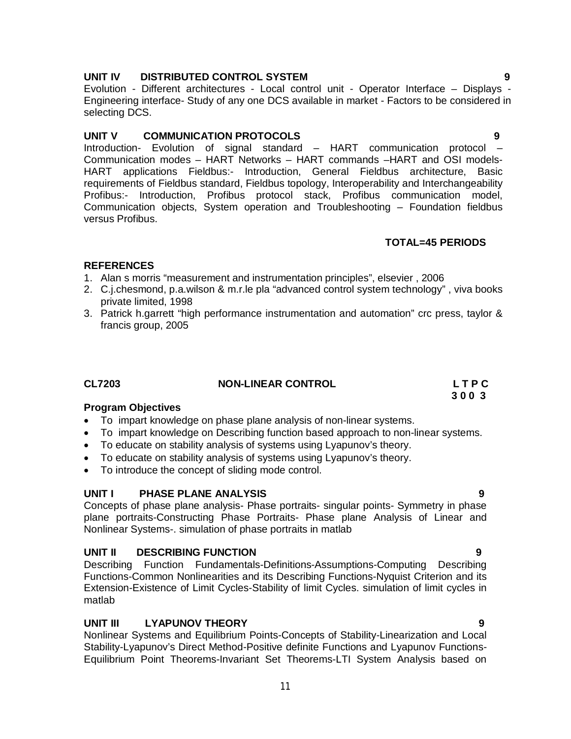# **UNIT IV DISTRIBUTED CONTROL SYSTEM 9**

Evolution - Different architectures - Local control unit - Operator Interface – Displays - Engineering interface- Study of any one DCS available in market - Factors to be considered in selecting DCS.

# **UNIT V COMMUNICATION PROTOCOLS 9**

Introduction- Evolution of signal standard – HART communication protocol – Communication modes – HART Networks – HART commands –HART and OSI models-HART applications Fieldbus:- Introduction, General Fieldbus architecture, Basic requirements of Fieldbus standard, Fieldbus topology, Interoperability and Interchangeability Profibus:- Introduction, Profibus protocol stack, Profibus communication model, Communication objects, System operation and Troubleshooting – Foundation fieldbus versus Profibus.

# **TOTAL=45 PERIODS**

# **REFERENCES**

- 1. Alan s morris "measurement and instrumentation principles", elsevier , 2006
- 2. C.j.chesmond, p.a.wilson & m.r.le pla "advanced control system technology" , viva books private limited, 1998
- 3. Patrick h.garrett "high performance instrumentation and automation" crc press, taylor & francis group, 2005

#### **CL7203 NON-LINEAR CONTROL L T P C 3 0 0 3**

# **Program Objectives**

- To impart knowledge on phase plane analysis of non-linear systems.
- To impart knowledge on Describing function based approach to non-linear systems.
- To educate on stability analysis of systems using Lyapunov's theory.
- To educate on stability analysis of systems using Lyapunov's theory.
- To introduce the concept of sliding mode control.

# **UNIT I PHASE PLANE ANALYSIS 9**

Concepts of phase plane analysis- Phase portraits- singular points- Symmetry in phase plane portraits-Constructing Phase Portraits- Phase plane Analysis of Linear and Nonlinear Systems-. simulation of phase portraits in matlab

# **UNIT II DESCRIBING FUNCTION 9**

Describing Function Fundamentals-Definitions-Assumptions-Computing Describing Functions-Common Nonlinearities and its Describing Functions-Nyquist Criterion and its Extension-Existence of Limit Cycles-Stability of limit Cycles. simulation of limit cycles in matlab

# **UNIT III LYAPUNOV THEORY 9**

Nonlinear Systems and Equilibrium Points-Concepts of Stability-Linearization and Local Stability-Lyapunov's Direct Method-Positive definite Functions and Lyapunov Functions-Equilibrium Point Theorems-Invariant Set Theorems-LTI System Analysis based on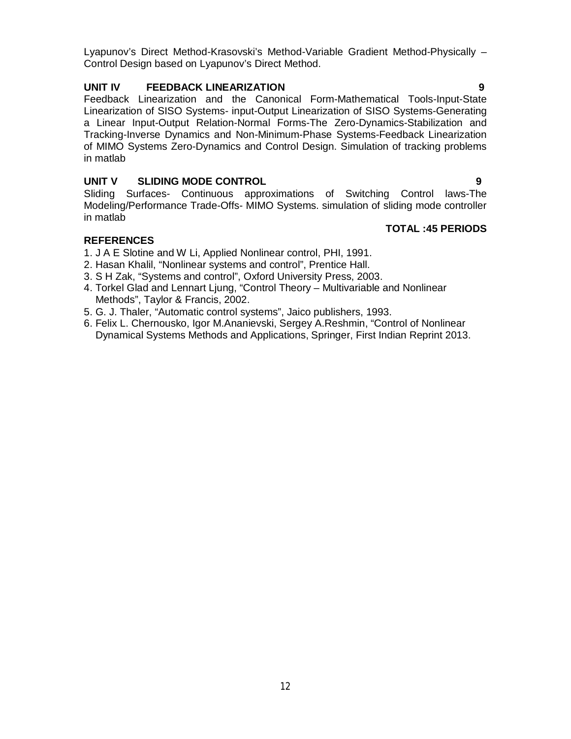Lyapunov's Direct Method-Krasovski's Method-Variable Gradient Method-Physically – Control Design based on Lyapunov's Direct Method.

# **UNIT IV FEEDBACK LINEARIZATION 9**

Feedback Linearization and the Canonical Form-Mathematical Tools-Input-State Linearization of SISO Systems- input-Output Linearization of SISO Systems-Generating a Linear Input-Output Relation-Normal Forms-The Zero-Dynamics-Stabilization and Tracking-Inverse Dynamics and Non-Minimum-Phase Systems-Feedback Linearization of MIMO Systems Zero-Dynamics and Control Design. Simulation of tracking problems in matlab

# **UNIT V SLIDING MODE CONTROL 9**

Sliding Surfaces- Continuous approximations of Switching Control laws-The Modeling/Performance Trade-Offs- MIMO Systems. simulation of sliding mode controller in matlab

# **TOTAL :45 PERIODS**

# **REFERENCES**

- 1. J A E Slotine and W Li, Applied Nonlinear control, PHI, 1991.
- 2. Hasan Khalil, "Nonlinear systems and control", Prentice Hall.
- 3. S H Zak, "Systems and control", Oxford University Press, 2003.
- 4. Torkel Glad and Lennart Ljung, "Control Theory Multivariable and Nonlinear Methods", Taylor & Francis, 2002.
- 5. G. J. Thaler, "Automatic control systems", Jaico publishers, 1993.
- 6. Felix L. Chernousko, Igor M.Ananievski, Sergey A.Reshmin, "Control of Nonlinear Dynamical Systems Methods and Applications, Springer, First Indian Reprint 2013.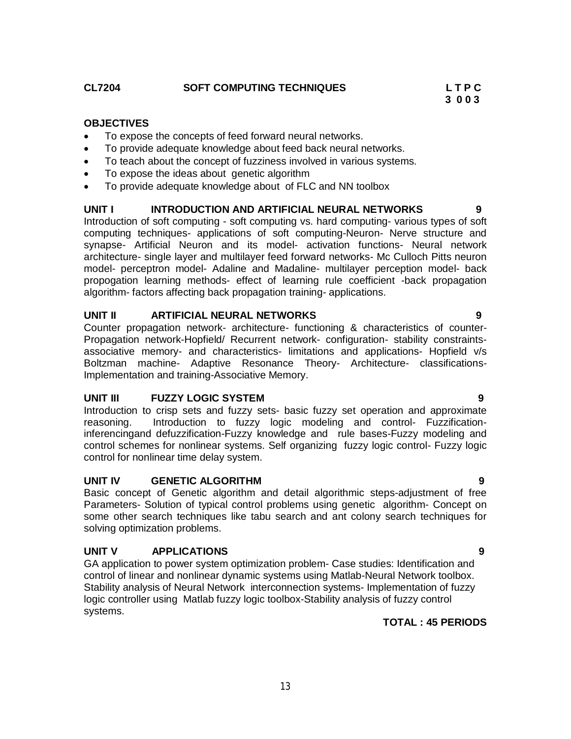## **OBJECTIVES**

- To expose the concepts of feed forward neural networks.
- To provide adequate knowledge about feed back neural networks.
- To teach about the concept of fuzziness involved in various systems.
- To expose the ideas about genetic algorithm
- To provide adequate knowledge about of FLC and NN toolbox

#### **UNIT I INTRODUCTION AND ARTIFICIAL NEURAL NETWORKS 9**

Introduction of soft computing - soft computing vs. hard computing- various types of soft computing techniques- applications of soft computing-Neuron- Nerve structure and synapse- Artificial Neuron and its model- activation functions- Neural network architecture- single layer and multilayer feed forward networks- Mc Culloch Pitts neuron model- perceptron model- Adaline and Madaline- multilayer perception model- back propogation learning methods- effect of learning rule coefficient -back propagation algorithm- factors affecting back propagation training- applications.

### **UNIT II ARTIFICIAL NEURAL NETWORKS 9**

Counter propagation network- architecture- functioning & characteristics of counter-Propagation network-Hopfield/ Recurrent network- configuration- stability constraintsassociative memory- and characteristics- limitations and applications- Hopfield v/s Boltzman machine- Adaptive Resonance Theory- Architecture- classifications-Implementation and training-Associative Memory.

#### **UNIT III FUZZY LOGIC SYSTEM 9**

Introduction to crisp sets and fuzzy sets- basic fuzzy set operation and approximate reasoning. Introduction to fuzzy logic modeling and control- Fuzzificationinferencingand defuzzification-Fuzzy knowledge and rule bases-Fuzzy modeling and control schemes for nonlinear systems. Self organizing fuzzy logic control- Fuzzy logic control for nonlinear time delay system.

# **UNIT IV GENETIC ALGORITHM 9**

Basic concept of Genetic algorithm and detail algorithmic steps-adjustment of free Parameters- Solution of typical control problems using genetic algorithm- Concept on some other search techniques like tabu search and ant colony search techniques for solving optimization problems.

# **UNIT V APPLICATIONS 9**

GA application to power system optimization problem- Case studies: Identification and control of linear and nonlinear dynamic systems using Matlab-Neural Network toolbox. Stability analysis of Neural Network interconnection systems- Implementation of fuzzy logic controller using Matlab fuzzy logic toolbox-Stability analysis of fuzzy control systems.

# **TOTAL : 45 PERIODS**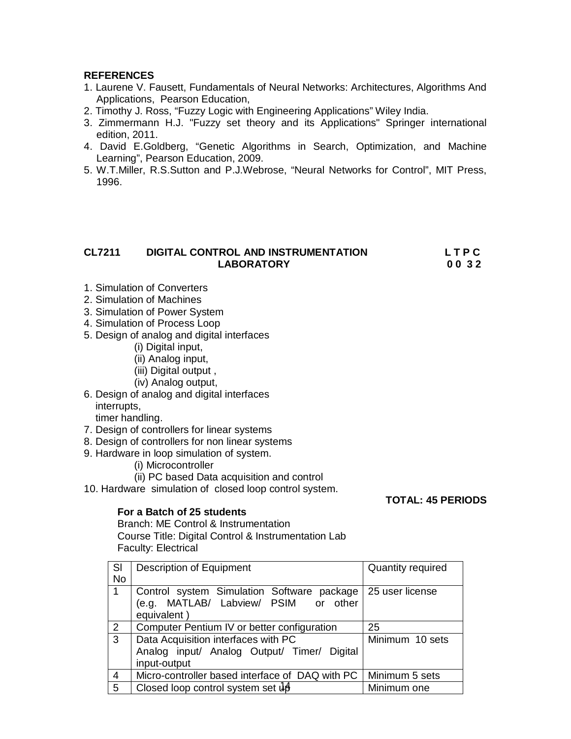### **REFERENCES**

- 1. Laurene V. Fausett, Fundamentals of Neural Networks: Architectures, Algorithms And Applications, Pearson Education,
- 2. Timothy J. Ross, "Fuzzy Logic with Engineering Applications" Wiley India.
- 3. Zimmermann H.J. "Fuzzy set theory and its Applications" Springer international edition, 2011.
- 4. David E.Goldberg, "Genetic Algorithms in Search, Optimization, and Machine Learning", Pearson Education, 2009.
- 5. W.T.Miller, R.S.Sutton and P.J.Webrose, "Neural Networks for Control", MIT Press, 1996.

# **CL7211 DIGITAL CONTROL AND INSTRUMENTATION L T P C LABORATORY 0 0 3 2**

- 1. Simulation of Converters
- 2. Simulation of Machines
- 3. Simulation of Power System
- 4. Simulation of Process Loop
- 5. Design of analog and digital interfaces
	- (i) Digital input,
	- (ii) Analog input,
	- (iii) Digital output ,
	- (iv) Analog output,
- 6. Design of analog and digital interfaces interrupts,

timer handling.

- 7. Design of controllers for linear systems
- 8. Design of controllers for non linear systems
- 9. Hardware in loop simulation of system.
	- (i) Microcontroller
	- (ii) PC based Data acquisition and control

10. Hardware simulation of closed loop control system.

# **For a Batch of 25 students**

Branch: ME Control & Instrumentation Course Title: Digital Control & Instrumentation Lab Faculty: Electrical

| <b>Description of Equipment</b>                  | <b>Quantity required</b>             |
|--------------------------------------------------|--------------------------------------|
|                                                  |                                      |
| Control system Simulation Software package       | 25 user license                      |
|                                                  |                                      |
| equivalent)                                      |                                      |
| Computer Pentium IV or better configuration      | 25                                   |
| Data Acquisition interfaces with PC              | Minimum 10 sets                      |
| Analog input/ Analog Output/ Timer/ Digital      |                                      |
| input-output                                     |                                      |
| Micro-controller based interface of DAQ with PC  | Minimum 5 sets                       |
| Closed loop control system set $\mathrm{d}\beta$ | Minimum one                          |
|                                                  | (e.g. MATLAB/ Labview/ PSIM or other |

**TOTAL: 45 PERIODS**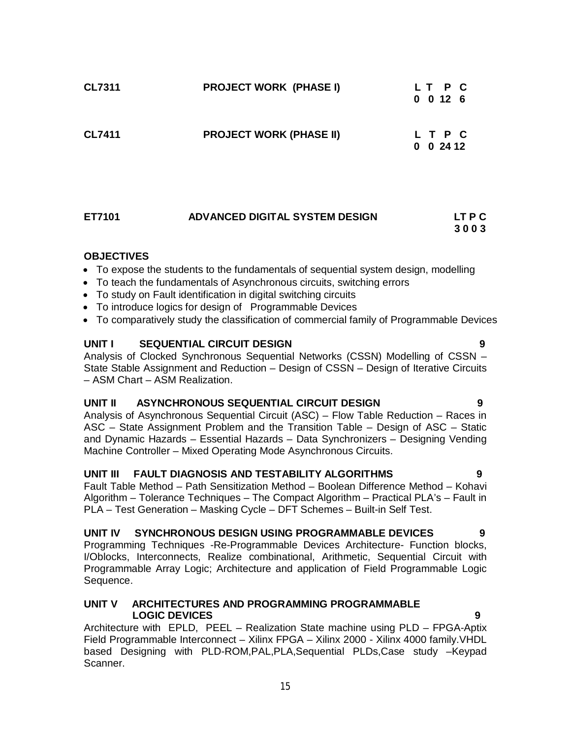| <b>CL7311</b> | <b>PROJECT WORK (PHASE I)</b>  | LT P C<br>$0 \t0 \t12 \t6$ |  |
|---------------|--------------------------------|----------------------------|--|
| <b>CL7411</b> | <b>PROJECT WORK (PHASE II)</b> | L T P C<br>$0 \t0 \t2412$  |  |

| ET7101 | ADVANCED DIGITAL SYSTEM DESIGN | LT P C |
|--------|--------------------------------|--------|
|        |                                | 3003   |

# **OBJECTIVES**

- To expose the students to the fundamentals of sequential system design, modelling
- To teach the fundamentals of Asynchronous circuits, switching errors
- To study on Fault identification in digital switching circuits
- To introduce logics for design of Programmable Devices
- To comparatively study the classification of commercial family of Programmable Devices

# **UNIT I SEQUENTIAL CIRCUIT DESIGN 9**

Analysis of Clocked Synchronous Sequential Networks (CSSN) Modelling of CSSN – State Stable Assignment and Reduction – Design of CSSN – Design of Iterative Circuits – ASM Chart – ASM Realization.

#### **UNIT II ASYNCHRONOUS SEQUENTIAL CIRCUIT DESIGN 9**

Analysis of Asynchronous Sequential Circuit (ASC) – Flow Table Reduction – Races in ASC – State Assignment Problem and the Transition Table – Design of ASC – Static and Dynamic Hazards – Essential Hazards – Data Synchronizers – Designing Vending Machine Controller – Mixed Operating Mode Asynchronous Circuits.

#### **UNIT III FAULT DIAGNOSIS AND TESTABILITY ALGORITHMS 9**

Fault Table Method – Path Sensitization Method – Boolean Difference Method – Kohavi Algorithm – Tolerance Techniques – The Compact Algorithm – Practical PLA's – Fault in PLA – Test Generation – Masking Cycle – DFT Schemes – Built-in Self Test.

#### **UNIT IV SYNCHRONOUS DESIGN USING PROGRAMMABLE DEVICES 9**

Programming Techniques -Re-Programmable Devices Architecture- Function blocks, I/Oblocks, Interconnects, Realize combinational, Arithmetic, Sequential Circuit with Programmable Array Logic; Architecture and application of Field Programmable Logic Sequence.

#### **UNIT V ARCHITECTURES AND PROGRAMMING PROGRAMMABLE LOGIC DEVICES 9**

Architecture with EPLD, PEEL – Realization State machine using PLD – FPGA-Aptix Field Programmable Interconnect – Xilinx FPGA – Xilinx 2000 - Xilinx 4000 family.VHDL based Designing with PLD-ROM,PAL,PLA,Sequential PLDs,Case study –Keypad Scanner.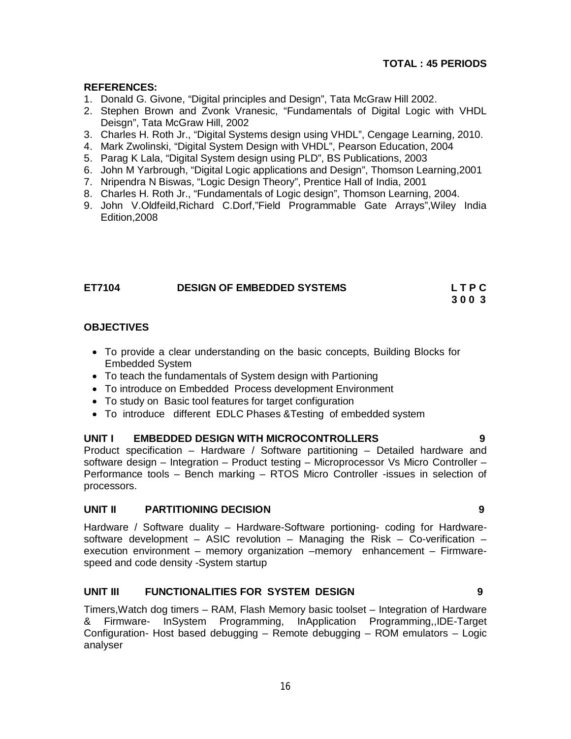# **TOTAL : 45 PERIODS**

# **REFERENCES:**

- 1. Donald G. Givone, "Digital principles and Design", Tata McGraw Hill 2002.
- 2. Stephen Brown and Zvonk Vranesic, "Fundamentals of Digital Logic with VHDL Deisgn", Tata McGraw Hill, 2002
- 3. Charles H. Roth Jr., "Digital Systems design using VHDL", Cengage Learning, 2010.
- 4. Mark Zwolinski, "Digital System Design with VHDL", Pearson Education, 2004
- 5. Parag K Lala, "Digital System design using PLD", BS Publications, 2003
- 6. John M Yarbrough, "Digital Logic applications and Design", Thomson Learning,2001
- 7. Nripendra N Biswas, "Logic Design Theory", Prentice Hall of India, 2001
- 8. Charles H. Roth Jr., "Fundamentals of Logic design", Thomson Learning, 2004.
- 9. John V.Oldfeild,Richard C.Dorf,"Field Programmable Gate Arrays",Wiley India Edition,2008

| ET7104 | <b>DESIGN OF EMBEDDED SYSTEMS</b> | <b>LTPC</b> |
|--------|-----------------------------------|-------------|
|        |                                   | 3003        |

### **OBJECTIVES**

- To provide a clear understanding on the basic concepts, Building Blocks for Embedded System
- To teach the fundamentals of System design with Partioning
- To introduce on Embedded Process development Environment
- To study on Basic tool features for target configuration
- To introduce different EDLC Phases &Testing of embedded system

#### **UNIT I EMBEDDED DESIGN WITH MICROCONTROLLERS 9**

Product specification – Hardware / Software partitioning – Detailed hardware and software design – Integration – Product testing – Microprocessor Vs Micro Controller – Performance tools – Bench marking – RTOS Micro Controller -issues in selection of processors.

# **UNIT II PARTITIONING DECISION 9**

Hardware / Software duality – Hardware-Software portioning- coding for Hardwaresoftware development – ASIC revolution – Managing the Risk – Co-verification – execution environment – memory organization –memory enhancement – Firmwarespeed and code density -System startup

# **UNIT III FUNCTIONALITIES FOR SYSTEM DESIGN 9**

Timers,Watch dog timers – RAM, Flash Memory basic toolset – Integration of Hardware & Firmware- InSystem Programming, InApplication Programming,,IDE-Target Configuration- Host based debugging – Remote debugging – ROM emulators – Logic analyser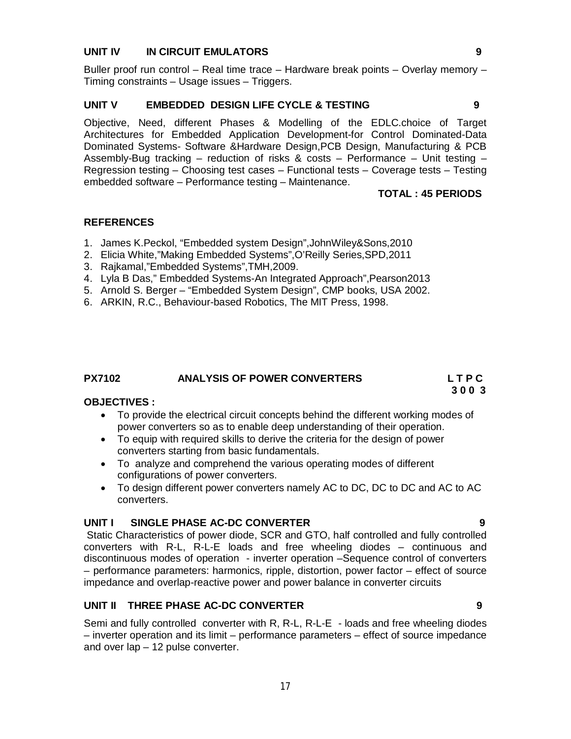## **UNIT IV IN CIRCUIT EMULATORS 9**

Buller proof run control – Real time trace – Hardware break points – Overlay memory – Timing constraints – Usage issues – Triggers.

#### **UNIT V EMBEDDED DESIGN LIFE CYCLE & TESTING 9**

Objective, Need, different Phases & Modelling of the EDLC.choice of Target Architectures for Embedded Application Development-for Control Dominated-Data Dominated Systems- Software &Hardware Design,PCB Design, Manufacturing & PCB Assembly-Bug tracking – reduction of risks & costs – Performance – Unit testing – Regression testing – Choosing test cases – Functional tests – Coverage tests – Testing embedded software – Performance testing – Maintenance.

### **TOTAL : 45 PERIODS**

### **REFERENCES**

- 1. James K.Peckol, "Embedded system Design",JohnWiley&Sons,2010
- 2. Elicia White,"Making Embedded Systems",O'Reilly Series,SPD,2011
- 3. Rajkamal,"Embedded Systems",TMH,2009.
- 4. Lyla B Das," Embedded Systems-An Integrated Approach",Pearson2013
- 5. Arnold S. Berger "Embedded System Design", CMP books, USA 2002.
- 6. ARKIN, R.C., Behaviour-based Robotics, The MIT Press, 1998.

#### **PX7102 ANALYSIS OF POWER CONVERTERS L T P C**

 **3 0 0 3**

## **OBJECTIVES :**

- To provide the electrical circuit concepts behind the different working modes of power converters so as to enable deep understanding of their operation.
- To equip with required skills to derive the criteria for the design of power converters starting from basic fundamentals.
- To analyze and comprehend the various operating modes of different configurations of power converters.
- To design different power converters namely AC to DC, DC to DC and AC to AC converters.

#### **UNIT I SINGLE PHASE AC-DC CONVERTER 9**

Static Characteristics of power diode, SCR and GTO, half controlled and fully controlled converters with R-L, R-L-E loads and free wheeling diodes – continuous and discontinuous modes of operation - inverter operation –Sequence control of converters – performance parameters: harmonics, ripple, distortion, power factor – effect of source impedance and overlap-reactive power and power balance in converter circuits

### **UNIT II THREE PHASE AC-DC CONVERTER 9**

Semi and fully controlled converter with R, R-L, R-L-E - loads and free wheeling diodes – inverter operation and its limit – performance parameters – effect of source impedance and over lap – 12 pulse converter.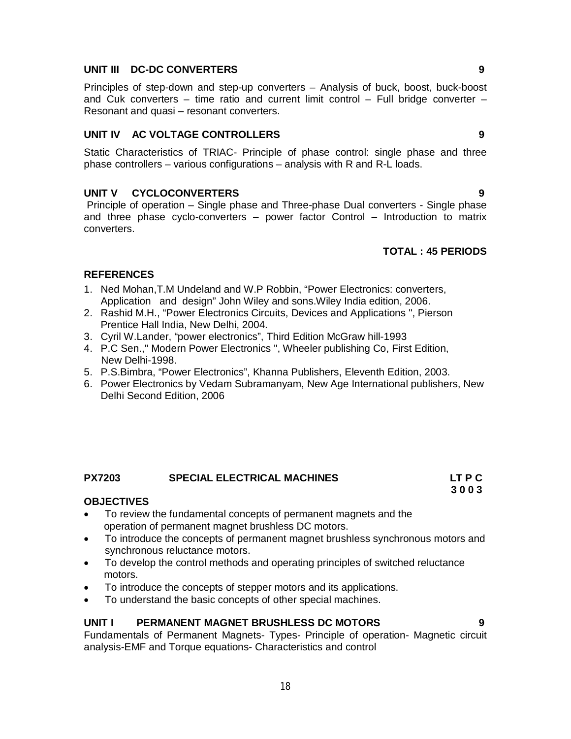# **UNIT III DC-DC CONVERTERS 9**

Principles of step-down and step-up converters – Analysis of buck, boost, buck-boost and Cuk converters – time ratio and current limit control – Full bridge converter – Resonant and quasi – resonant converters.

## **UNIT IV AC VOLTAGE CONTROLLERS 9**

Static Characteristics of TRIAC- Principle of phase control: single phase and three phase controllers – various configurations – analysis with R and R-L loads.

# **UNIT V CYCLOCONVERTERS 9**

Principle of operation – Single phase and Three-phase Dual converters - Single phase and three phase cyclo-converters – power factor Control – Introduction to matrix converters.

# **TOTAL : 45 PERIODS**

# **REFERENCES**

- 1. Ned Mohan,T.M Undeland and W.P Robbin, "Power Electronics: converters, Application and design" John Wiley and sons.Wiley India edition, 2006.
- 2. Rashid M.H., "Power Electronics Circuits, Devices and Applications ", Pierson Prentice Hall India, New Delhi, 2004.
- 3. Cyril W.Lander, "power electronics", Third Edition McGraw hill-1993
- 4. P.C Sen.," Modern Power Electronics ", Wheeler publishing Co, First Edition, New Delhi-1998.
- 5. P.S.Bimbra, "Power Electronics", Khanna Publishers, Eleventh Edition, 2003.
- 6. Power Electronics by Vedam Subramanyam, New Age International publishers, New Delhi Second Edition, 2006

# **PX7203 SPECIAL ELECTRICAL MACHINES LT P C**

#### **OBJECTIVES**

- To review the fundamental concepts of permanent magnets and the operation of permanent magnet brushless DC motors.
- To introduce the concepts of permanent magnet brushless synchronous motors and synchronous reluctance motors.
- To develop the control methods and operating principles of switched reluctance motors.
- To introduce the concepts of stepper motors and its applications.
- To understand the basic concepts of other special machines.

#### **UNIT I PERMANENT MAGNET BRUSHLESS DC MOTORS 9**

Fundamentals of Permanent Magnets- Types- Principle of operation- Magnetic circuit analysis-EMF and Torque equations- Characteristics and control

 **3 0 0 3**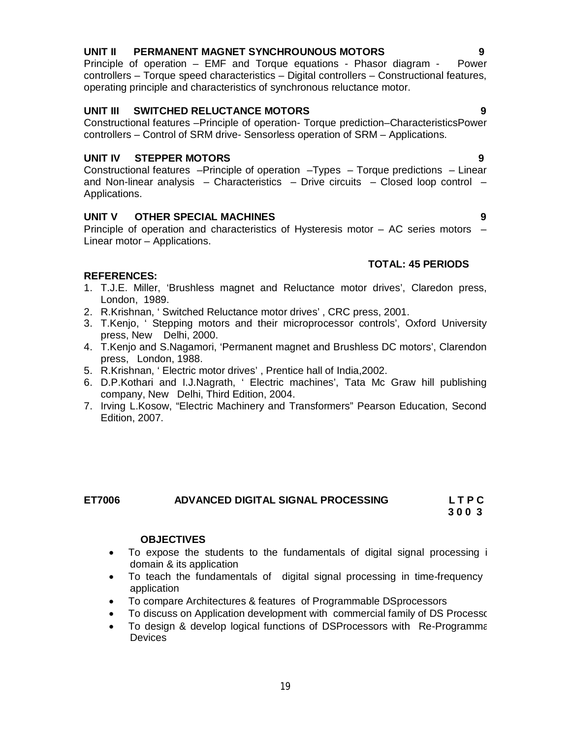# **UNIT II PERMANENT MAGNET SYNCHROUNOUS MOTORS 9**

Principle of operation – EMF and Torque equations - Phasor diagram - Power controllers – Torque speed characteristics – Digital controllers – Constructional features, operating principle and characteristics of synchronous reluctance motor.

# **UNIT III SWITCHED RELUCTANCE MOTORS 9**

Constructional features –Principle of operation- Torque prediction–CharacteristicsPower controllers – Control of SRM drive- Sensorless operation of SRM – Applications.

# **UNIT IV STEPPER MOTORS 9**

Constructional features –Principle of operation –Types – Torque predictions – Linear and Non-linear analysis – Characteristics – Drive circuits – Closed loop control – Applications.

# **UNIT V OTHER SPECIAL MACHINES 9**

Principle of operation and characteristics of Hysteresis motor – AC series motors – Linear motor – Applications.

# **TOTAL: 45 PERIODS**

# **REFERENCES:**

- 1. T.J.E. Miller, 'Brushless magnet and Reluctance motor drives', Claredon press, London, 1989.
- 2. R.Krishnan, ' Switched Reluctance motor drives' , CRC press, 2001.
- 3. T.Kenjo, ' Stepping motors and their microprocessor controls', Oxford University press, New Delhi, 2000.
- 4. T.Kenjo and S.Nagamori, 'Permanent magnet and Brushless DC motors', Clarendon press, London, 1988.
- 5. R.Krishnan, ' Electric motor drives' , Prentice hall of India,2002.
- 6. D.P.Kothari and I.J.Nagrath, ' Electric machines', Tata Mc Graw hill publishing company, New Delhi, Third Edition, 2004.
- 7. Irving L.Kosow, "Electric Machinery and Transformers" Pearson Education, Second Edition, 2007.

# **ET7006 ADVANCED DIGITAL SIGNAL PROCESSING L T P C**

 **3 0 0 3**

# **OBJECTIVES**

- To expose the students to the fundamentals of digital signal processing in domain & its application
- To teach the fundamentals of digital signal processing in time-frequency application
- To compare Architectures & features of Programmable DSprocessors
- To discuss on Application development with commercial family of DS Processors
- To design & develop logical functions of DSProcessors with Re-Programmaging **Devices**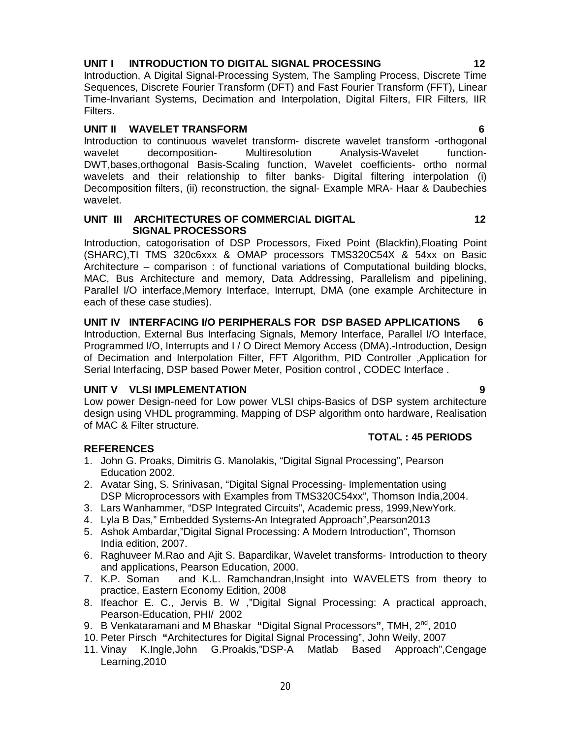# **UNIT I INTRODUCTION TO DIGITAL SIGNAL PROCESSING 12**

Introduction, A Digital Signal-Processing System, The Sampling Process, Discrete Time Sequences, Discrete Fourier Transform (DFT) and Fast Fourier Transform (FFT), Linear Time-Invariant Systems, Decimation and Interpolation, Digital Filters, FIR Filters, IIR Filters.

## **UNIT II WAVELET TRANSFORM 6**

Introduction to continuous wavelet transform- discrete wavelet transform -orthogonal wavelet decomposition- Multiresolution Analysis-Wavelet function-DWT,bases,orthogonal Basis-Scaling function, Wavelet coefficients- ortho normal wavelets and their relationship to filter banks- Digital filtering interpolation (i) Decomposition filters, (ii) reconstruction, the signal- Example MRA- Haar & Daubechies wavelet.

#### **UNIT III ARCHITECTURES OF COMMERCIAL DIGITAL 12 SIGNAL PROCESSORS**

Introduction, catogorisation of DSP Processors, Fixed Point (Blackfin),Floating Point (SHARC),TI TMS 320c6xxx & OMAP processors TMS320C54X & 54xx on Basic Architecture – comparison : of functional variations of Computational building blocks, MAC, Bus Architecture and memory, Data Addressing, Parallelism and pipelining, Parallel I/O interface,Memory Interface, Interrupt, DMA (one example Architecture in each of these case studies).

# **UNIT IV INTERFACING I/O PERIPHERALS FOR DSP BASED APPLICATIONS 6**

Introduction, External Bus Interfacing Signals, Memory Interface, Parallel I/O Interface, Programmed I/O, Interrupts and I / O Direct Memory Access (DMA).**-**Introduction, Design of Decimation and Interpolation Filter, FFT Algorithm, PID Controller ,Application for Serial Interfacing, DSP based Power Meter, Position control , CODEC Interface .

#### **UNIT V VLSI IMPLEMENTATION**

Low power Design-need for Low power VLSI chips-Basics of DSP system architecture design using VHDL programming, Mapping of DSP algorithm onto hardware, Realisation of MAC & Filter structure.

#### **TOTAL : 45 PERIODS**

# **REFERENCES**

- 1. John G. Proaks, Dimitris G. Manolakis, "Digital Signal Processing", Pearson Education 2002.
- 2. Avatar Sing, S. Srinivasan, "Digital Signal Processing- Implementation using DSP Microprocessors with Examples from TMS320C54xx", Thomson India,2004.
- 3. Lars Wanhammer, "DSP Integrated Circuits", Academic press, 1999,NewYork.
- 4. Lyla B Das," Embedded Systems-An Integrated Approach",Pearson2013
- 5. Ashok Ambardar,"Digital Signal Processing: A Modern Introduction", Thomson India edition, 2007.
- 6. Raghuveer M.Rao and Ajit S. Bapardikar, Wavelet transforms- Introduction to theory and applications, Pearson Education, 2000.
- 7. K.P. Soman and K.L. Ramchandran,Insight into WAVELETS from theory to practice, Eastern Economy Edition, 2008
- 8. Ifeachor E. C., Jervis B. W ,"Digital Signal Processing: A practical approach, Pearson-Education, PHI/ 2002
- 9. B Venkataramani and M Bhaskar **"**Digital Signal Processors**"**, TMH, 2nd , 2010
- 10. Peter Pirsch **"**Architectures for Digital Signal Processing", John Weily, 2007
- 11. Vinay K.Ingle,John G.Proakis,"DSP-A Matlab Based Approach",Cengage Learning,2010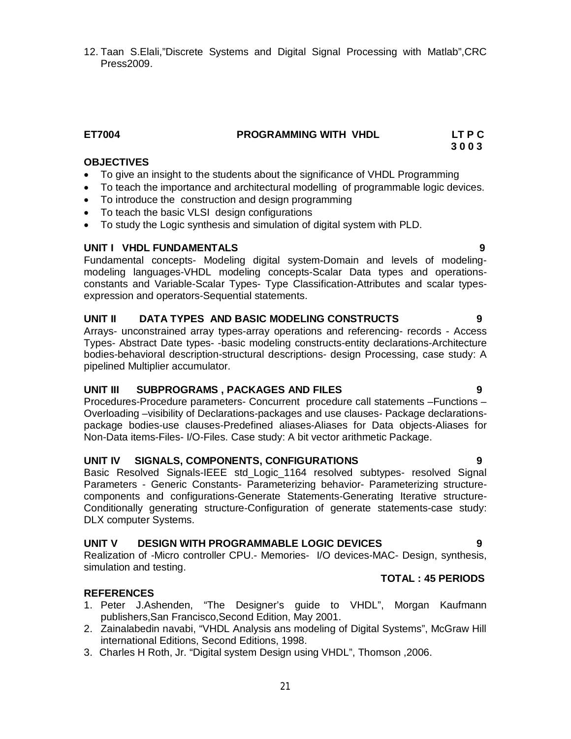12. Taan S.Elali,"Discrete Systems and Digital Signal Processing with Matlab",CRC Press2009.

## **ET7004 PROGRAMMING WITH VHDL LT P C**

 **3 0 0 3**

# **OBJECTIVES**

- To give an insight to the students about the significance of VHDL Programming
- To teach the importance and architectural modelling of programmable logic devices.
- To introduce the construction and design programming
- To teach the basic VLSI design configurations
- To study the Logic synthesis and simulation of digital system with PLD.

### **UNIT I VHDL FUNDAMENTALS 9**

Fundamental concepts- Modeling digital system-Domain and levels of modelingmodeling languages-VHDL modeling concepts-Scalar Data types and operationsconstants and Variable-Scalar Types- Type Classification-Attributes and scalar typesexpression and operators-Sequential statements.

# **UNIT II DATA TYPES AND BASIC MODELING CONSTRUCTS 9**

Arrays- unconstrained array types-array operations and referencing- records - Access Types- Abstract Date types- -basic modeling constructs-entity declarations-Architecture bodies-behavioral description-structural descriptions- design Processing, case study: A pipelined Multiplier accumulator.

#### **UNIT III SUBPROGRAMS , PACKAGES AND FILES 9**

Procedures-Procedure parameters- Concurrent procedure call statements –Functions – Overloading –visibility of Declarations-packages and use clauses- Package declarationspackage bodies-use clauses-Predefined aliases-Aliases for Data objects-Aliases for Non-Data items-Files- I/O-Files. Case study: A bit vector arithmetic Package.

#### **UNIT IV SIGNALS, COMPONENTS, CONFIGURATIONS 9**

Basic Resolved Signals-IEEE std\_Logic\_1164 resolved subtypes- resolved Signal Parameters - Generic Constants- Parameterizing behavior- Parameterizing structurecomponents and configurations-Generate Statements-Generating Iterative structure-Conditionally generating structure-Configuration of generate statements-case study: DLX computer Systems.

#### **UNIT V DESIGN WITH PROGRAMMABLE LOGIC DEVICES 9**

Realization of -Micro controller CPU.- Memories- I/O devices-MAC- Design, synthesis, simulation and testing.

#### **TOTAL : 45 PERIODS**

#### **REFERENCES**

- 1. Peter J.Ashenden, "The Designer's guide to VHDL", Morgan Kaufmann publishers,San Francisco,Second Edition, May 2001.
- 2. Zainalabedin navabi, "VHDL Analysis ans modeling of Digital Systems", McGraw Hill international Editions, Second Editions, 1998.
- 3. Charles H Roth, Jr. "Digital system Design using VHDL", Thomson ,2006.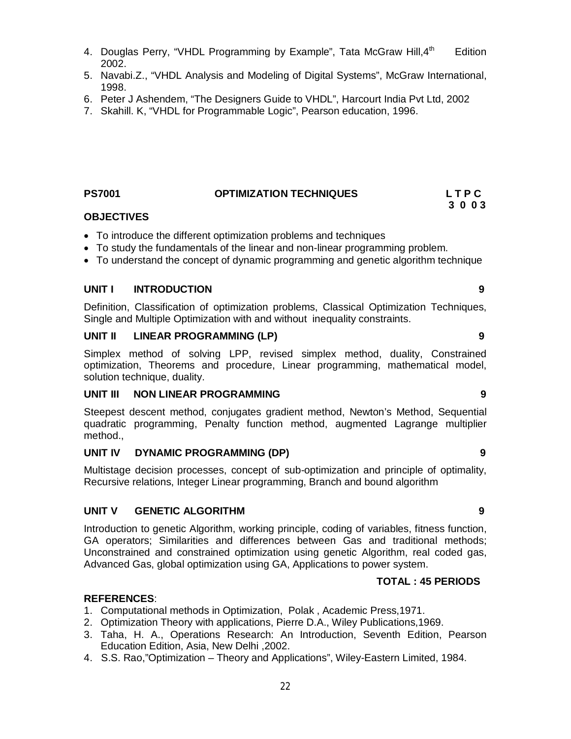22

- 4. Douglas Perry, "VHDL Programming by Example", Tata McGraw Hill,  $4^{\text{th}}$ **Edition** 2002.
- 5. Navabi.Z., "VHDL Analysis and Modeling of Digital Systems", McGraw International, 1998.
- 6. Peter J Ashendem, "The Designers Guide to VHDL", Harcourt India Pvt Ltd, 2002
- 7. Skahill. K, "VHDL for Programmable Logic", Pearson education, 1996.

#### **PS7001 OPTIMIZATION TECHNIQUES L T P C**

# **OBJECTIVES**

- To introduce the different optimization problems and techniques
- To study the fundamentals of the linear and non-linear programming problem.
- To understand the concept of dynamic programming and genetic algorithm technique

### **UNIT I INTRODUCTION 9**

Definition, Classification of optimization problems, Classical Optimization Techniques, Single and Multiple Optimization with and without inequality constraints.

#### **UNIT II LINEAR PROGRAMMING (LP) 9**

Simplex method of solving LPP, revised simplex method, duality, Constrained optimization, Theorems and procedure, Linear programming, mathematical model, solution technique, duality.

#### **UNIT III NON LINEAR PROGRAMMING 9**

Steepest descent method, conjugates gradient method, Newton's Method, Sequential quadratic programming, Penalty function method, augmented Lagrange multiplier method.,

#### **UNIT IV DYNAMIC PROGRAMMING (DP) 9**

Multistage decision processes, concept of sub-optimization and principle of optimality, Recursive relations, Integer Linear programming, Branch and bound algorithm

# **UNIT V GENETIC ALGORITHM 9**

Introduction to genetic Algorithm, working principle, coding of variables, fitness function, GA operators; Similarities and differences between Gas and traditional methods; Unconstrained and constrained optimization using genetic Algorithm, real coded gas, Advanced Gas, global optimization using GA, Applications to power system.

# **TOTAL : 45 PERIODS**

#### **REFERENCES**:

- 1. Computational methods in Optimization, Polak , Academic Press,1971.
- 2. Optimization Theory with applications, Pierre D.A., Wiley Publications,1969.
- 3. Taha, H. A., Operations Research: An Introduction, Seventh Edition, Pearson Education Edition, Asia, New Delhi ,2002.
- 4. S.S. Rao,"Optimization Theory and Applications", Wiley-Eastern Limited, 1984.

 **3 0 0 3**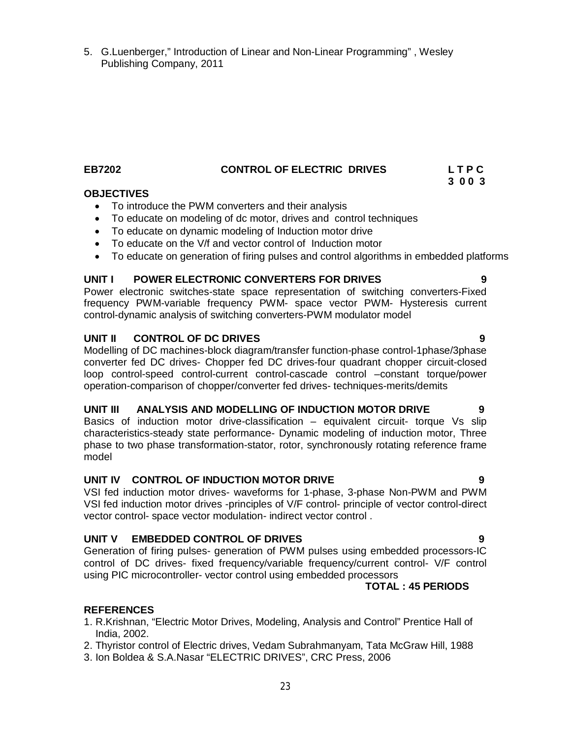**UNIT III ANALYSIS AND MODELLING OF INDUCTION MOTOR DRIVE 9** Basics of induction motor drive-classification – equivalent circuit- torque Vs slip characteristics-steady state performance- Dynamic modeling of induction motor, Three phase to two phase transformation-stator, rotor, synchronously rotating reference frame model

# **UNIT IV CONTROL OF INDUCTION MOTOR DRIVE 9**

VSI fed induction motor drives- waveforms for 1-phase, 3-phase Non-PWM and PWM VSI fed induction motor drives -principles of V/F control- principle of vector control-direct vector control- space vector modulation- indirect vector control .

# **UNIT V EMBEDDED CONTROL OF DRIVES 9**

Generation of firing pulses- generation of PWM pulses using embedded processors-IC control of DC drives- fixed frequency/variable frequency/current control- V/F control using PIC microcontroller- vector control using embedded processors

# **REFERENCES**

**OBJECTIVES** 

- 1. R.Krishnan, "Electric Motor Drives, Modeling, Analysis and Control" Prentice Hall of India, 2002.
- 2. Thyristor control of Electric drives, Vedam Subrahmanyam, Tata McGraw Hill, 1988
- 3. Ion Boldea & S.A.Nasar "ELECTRIC DRIVES", CRC Press, 2006

• To introduce the PWM converters and their analysis

To educate on modeling of dc motor, drives and control techniques

Power electronic switches-state space representation of switching converters-Fixed frequency PWM-variable frequency PWM- space vector PWM- Hysteresis current control-dynamic analysis of switching converters-PWM modulator model

To educate on generation of firing pulses and control algorithms in embedded platforms

# **UNIT II CONTROL OF DC DRIVES 9**

Modelling of DC machines-block diagram/transfer function-phase control-1phase/3phase converter fed DC drives- Chopper fed DC drives-four quadrant chopper circuit-closed loop control-speed control-current control-cascade control –constant torque/power operation-comparison of chopper/converter fed drives- techniques-merits/demits

 To educate on dynamic modeling of Induction motor drive • To educate on the V/f and vector control of Induction motor

**UNIT I POWER ELECTRONIC CONVERTERS FOR DRIVES 9**

5. G.Luenberger," Introduction of Linear and Non-Linear Programming" , Wesley Publishing Company, 2011

 **TOTAL : 45 PERIODS** 

### **EB7202 CONTROL OF ELECTRIC DRIVES L T P C 3 0 0 3**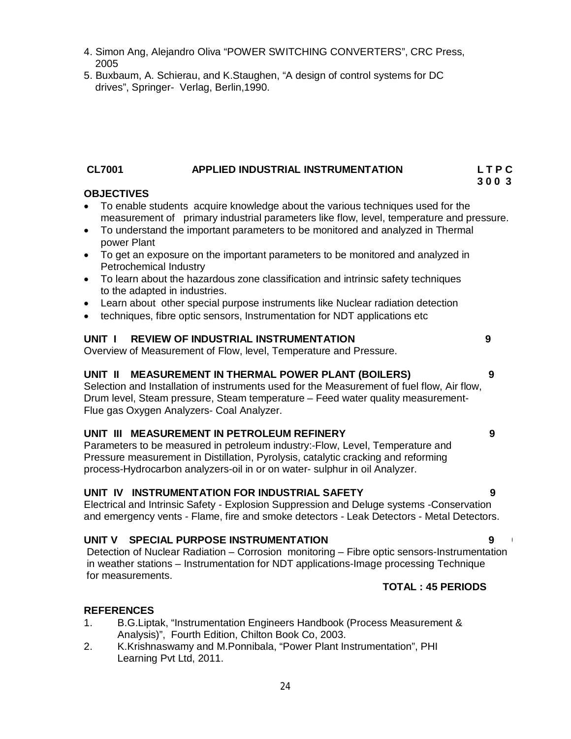- 4. Simon Ang, Alejandro Oliva "POWER SWITCHING CONVERTERS", CRC Press, 2005
- 5. Buxbaum, A. Schierau, and K.Staughen, "A design of control systems for DC drives", Springer- Verlag, Berlin,1990.

# **CL7001 APPLIED INDUSTRIAL INSTRUMENTATION L T P C**

#### **3 0 0 3 OBJECTIVES**

- To enable students acquire knowledge about the various techniques used for the measurement of primary industrial parameters like flow, level, temperature and pressure.
- To understand the important parameters to be monitored and analyzed in Thermal power Plant
- To get an exposure on the important parameters to be monitored and analyzed in Petrochemical Industry
- To learn about the hazardous zone classification and intrinsic safety techniques to the adapted in industries.
- Learn about other special purpose instruments like Nuclear radiation detection
- techniques, fibre optic sensors, Instrumentation for NDT applications etc

# **UNIT I REVIEW OF INDUSTRIAL INSTRUMENTATION 9**

Overview of Measurement of Flow, level, Temperature and Pressure.

#### **UNIT II MEASUREMENT IN THERMAL POWER PLANT (BOILERS) 9**

Selection and Installation of instruments used for the Measurement of fuel flow, Air flow, Drum level, Steam pressure, Steam temperature – Feed water quality measurement-Flue gas Oxygen Analyzers- Coal Analyzer.

# **UNIT III MEASUREMENT IN PETROLEUM REFINERY 9**

Parameters to be measured in petroleum industry:-Flow, Level, Temperature and Pressure measurement in Distillation, Pyrolysis, catalytic cracking and reforming process-Hydrocarbon analyzers-oil in or on water- sulphur in oil Analyzer.

### **UNIT IV INSTRUMENTATION FOR INDUSTRIAL SAFETY 9**

Electrical and Intrinsic Safety - Explosion Suppression and Deluge systems -Conservation and emergency vents - Flame, fire and smoke detectors - Leak Detectors - Metal Detectors.

#### **UNIT V SPECIAL PURPOSE INSTRUMENTATION 9 9**

Detection of Nuclear Radiation – Corrosion monitoring – Fibre optic sensors-Instrumentation in weather stations – Instrumentation for NDT applications-Image processing Technique for measurements.

# **TOTAL : 45 PERIODS**

# **REFERENCES**

- 1. B.G.Liptak, "Instrumentation Engineers Handbook (Process Measurement & Analysis)", Fourth Edition, Chilton Book Co, 2003.
- 2. K.Krishnaswamy and M.Ponnibala, "Power Plant Instrumentation", PHI Learning Pvt Ltd, 2011.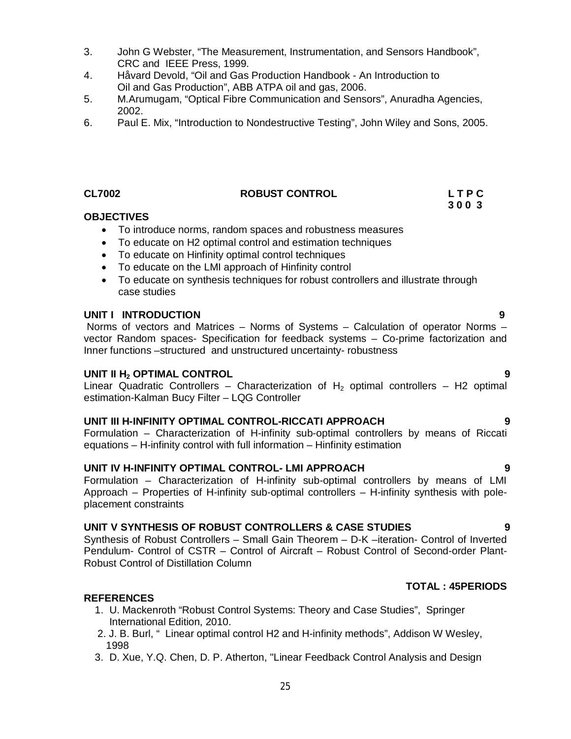- 3. John G Webster, "The Measurement, Instrumentation, and Sensors Handbook", CRC and IEEE Press, 1999.
- 4. Håvard Devold, "Oil and Gas Production Handbook An Introduction to Oil and Gas Production", ABB ATPA oil and gas, 2006.
- 5. M.Arumugam, "Optical Fibre Communication and Sensors", Anuradha Agencies, 2002.
- 6. Paul E. Mix, "Introduction to Nondestructive Testing", John Wiley and Sons, 2005.

#### **CL7002 ROBUST CONTROL L T P C**

#### **OBJECTIVES**

- To introduce norms, random spaces and robustness measures
- To educate on H2 optimal control and estimation techniques
- To educate on Hinfinity optimal control techniques
- To educate on the LMI approach of Hinfinity control
- To educate on synthesis techniques for robust controllers and illustrate through case studies

#### **UNIT I INTRODUCTION 9**

Norms of vectors and Matrices – Norms of Systems – Calculation of operator Norms – vector Random spaces- Specification for feedback systems – Co-prime factorization and Inner functions –structured and unstructured uncertainty- robustness

#### **UNIT II H<sup>2</sup> OPTIMAL CONTROL 9**

Linear Quadratic Controllers – Characterization of  $H<sub>2</sub>$  optimal controllers – H2 optimal estimation-Kalman Bucy Filter – LQG Controller

### **UNIT III H-INFINITY OPTIMAL CONTROL-RICCATI APPROACH 9**

Formulation – Characterization of H-infinity sub-optimal controllers by means of Riccati equations – H-infinity control with full information – Hinfinity estimation

#### **UNIT IV H-INFINITY OPTIMAL CONTROL- LMI APPROACH 9**

Formulation – Characterization of H-infinity sub-optimal controllers by means of LMI Approach – Properties of H-infinity sub-optimal controllers – H-infinity synthesis with poleplacement constraints

#### **UNIT V SYNTHESIS OF ROBUST CONTROLLERS & CASE STUDIES 9**

Synthesis of Robust Controllers – Small Gain Theorem – D-K –iteration- Control of Inverted Pendulum- Control of CSTR – Control of Aircraft – Robust Control of Second-order Plant-Robust Control of Distillation Column

#### **REFERENCES**

- 1. U. Mackenroth "Robust Control Systems: Theory and Case Studies", Springer International Edition, 2010.
- 2. 2. J. B. Burl, " Linear optimal control H2 and H-infinity methods", Addison W Wesley, 1998
- 3. D. Xue, Y.Q. Chen, D. P. Atherton, "Linear Feedback Control Analysis and Design

# **TOTAL : 45PERIODS**

 **3 0 0 3**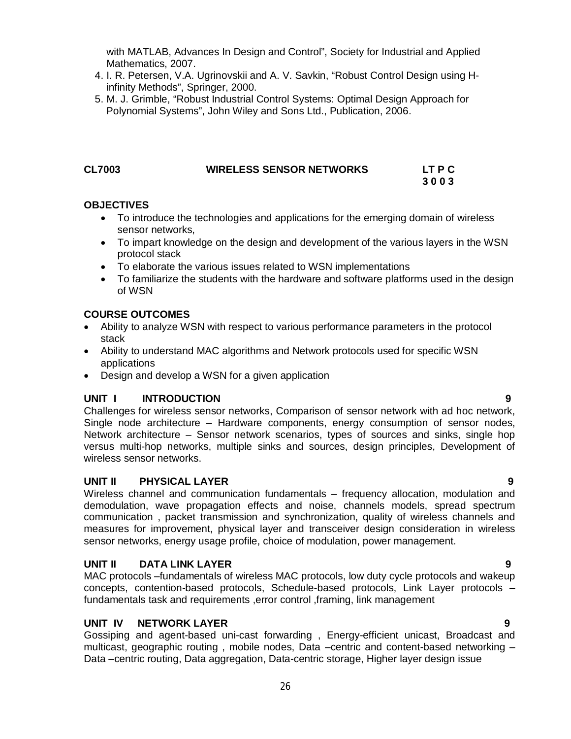with MATLAB, Advances In Design and Control", Society for Industrial and Applied Mathematics, 2007.

- 4. I. R. Petersen, V.A. Ugrinovskii and A. V. Savkin, "Robust Control Design using H infinity Methods", Springer, 2000.
- 5. M. J. Grimble, "Robust Industrial Control Systems: Optimal Design Approach for Polynomial Systems", John Wiley and Sons Ltd., Publication, 2006.

# **CL7003 WIRELESS SENSOR NETWORKS LT P C**

 **3 0 0 3**

# **OBJECTIVES**

- To introduce the technologies and applications for the emerging domain of wireless sensor networks,
- To impart knowledge on the design and development of the various layers in the WSN protocol stack
- To elaborate the various issues related to WSN implementations
- To familiarize the students with the hardware and software platforms used in the design of WSN

# **COURSE OUTCOMES**

- Ability to analyze WSN with respect to various performance parameters in the protocol stack
- Ability to understand MAC algorithms and Network protocols used for specific WSN applications
- Design and develop a WSN for a given application

# **UNIT I INTRODUCTION 9**

Challenges for wireless sensor networks, Comparison of sensor network with ad hoc network, Single node architecture – Hardware components, energy consumption of sensor nodes, Network architecture – Sensor network scenarios, types of sources and sinks, single hop versus multi-hop networks, multiple sinks and sources, design principles, Development of wireless sensor networks.

# **UNIT II PHYSICAL LAYER 9**

Wireless channel and communication fundamentals – frequency allocation, modulation and demodulation, wave propagation effects and noise, channels models, spread spectrum communication , packet transmission and synchronization, quality of wireless channels and measures for improvement, physical layer and transceiver design consideration in wireless sensor networks, energy usage profile, choice of modulation, power management.

# **UNIT II DATA LINK LAYER 9**

MAC protocols –fundamentals of wireless MAC protocols, low duty cycle protocols and wakeup concepts, contention-based protocols, Schedule-based protocols, Link Layer protocols – fundamentals task and requirements ,error control ,framing, link management

# **UNIT IV** NETWORK LAYER **9**

Gossiping and agent-based uni-cast forwarding , Energy-efficient unicast, Broadcast and multicast, geographic routing , mobile nodes, Data –centric and content-based networking – Data –centric routing, Data aggregation, Data-centric storage, Higher layer design issue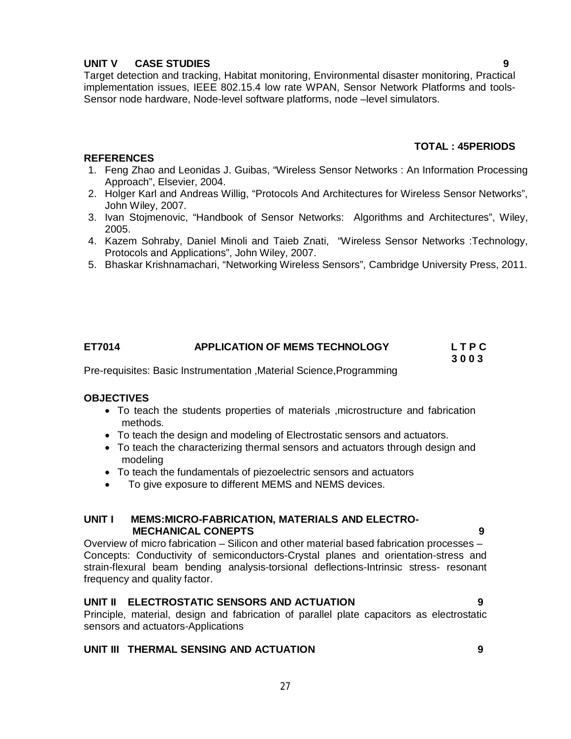# **UNIT V CASE STUDIES 9**

Target detection and tracking, Habitat monitoring, Environmental disaster monitoring, Practical implementation issues, IEEE 802.15.4 low rate WPAN, Sensor Network Platforms and tools-Sensor node hardware, Node-level software platforms, node –level simulators.

# **TOTAL : 45PERIODS**

# **REFERENCES**

- 1. Feng Zhao and Leonidas J. Guibas, "Wireless Sensor Networks : An Information Processing Approach", Elsevier, 2004.
- 2. Holger Karl and Andreas Willig, "Protocols And Architectures for Wireless Sensor Networks", John Wiley, 2007.
- 3. Ivan Stojmenovic, "Handbook of Sensor Networks: Algorithms and Architectures", Wiley, 2005.
- 4. Kazem Sohraby, Daniel Minoli and Taieb Znati, "Wireless Sensor Networks :Technology, Protocols and Applications", John Wiley, 2007.
- 5. Bhaskar Krishnamachari, "Networking Wireless Sensors", Cambridge University Press, 2011.

# **ET7014 APPLICATION OF MEMS TECHNOLOGY L T P C**

 **3 0 0 3**

Pre-requisites: Basic Instrumentation ,Material Science,Programming

# **OBJECTIVES**

- To teach the students properties of materials ,microstructure and fabrication methods.
- To teach the design and modeling of Electrostatic sensors and actuators.
- To teach the characterizing thermal sensors and actuators through design and modeling
- To teach the fundamentals of piezoelectric sensors and actuators
- To give exposure to different MEMS and NEMS devices.

# **UNIT I MEMS:MICRO-FABRICATION, MATERIALS AND ELECTRO- MECHANICAL CONEPTS 9**

Overview of micro fabrication – Silicon and other material based fabrication processes – Concepts: Conductivity of semiconductors-Crystal planes and orientation-stress and strain-flexural beam bending analysis-torsional deflections-Intrinsic stress- resonant frequency and quality factor.

# **UNIT II ELECTROSTATIC SENSORS AND ACTUATION 9**

Principle, material, design and fabrication of parallel plate capacitors as electrostatic sensors and actuators-Applications

# **UNIT III THERMAL SENSING AND ACTUATION 9**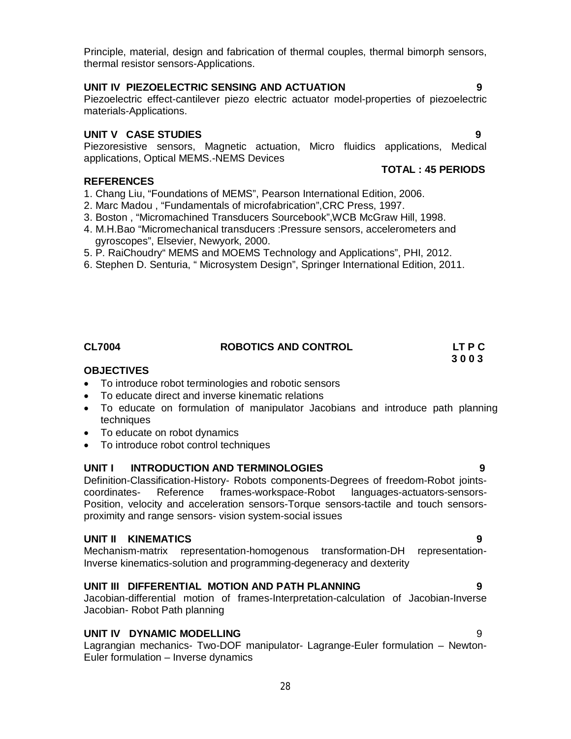Principle, material, design and fabrication of thermal couples, thermal bimorph sensors, thermal resistor sensors-Applications.

# **UNIT IV PIEZOELECTRIC SENSING AND ACTUATION 9**

Piezoelectric effect-cantilever piezo electric actuator model-properties of piezoelectric materials-Applications.

# **UNIT V CASE STUDIES 9**

Piezoresistive sensors, Magnetic actuation, Micro fluidics applications, Medical applications, Optical MEMS.-NEMS Devices

# **REFERENCES**

- 1. Chang Liu, "Foundations of MEMS", Pearson International Edition, 2006.
- 2. Marc Madou , "Fundamentals of microfabrication",CRC Press, 1997.
- 3. Boston , "Micromachined Transducers Sourcebook",WCB McGraw Hill, 1998.
- 4. M.H.Bao "Micromechanical transducers :Pressure sensors, accelerometers and gyroscopes", Elsevier, Newyork, 2000.
- 5. P. RaiChoudry" MEMS and MOEMS Technology and Applications", PHI, 2012.
- 6. Stephen D. Senturia, " Microsystem Design", Springer International Edition, 2011.

# **CL7004 ROBOTICS AND CONTROL LT P C**

# **OBJECTIVES**

- To introduce robot terminologies and robotic sensors
- To educate direct and inverse kinematic relations
- To educate on formulation of manipulator Jacobians and introduce path planning techniques
- To educate on robot dynamics
- To introduce robot control techniques

# **UNIT I INTRODUCTION AND TERMINOLOGIES 9**

Definition-Classification-History- Robots components-Degrees of freedom-Robot jointscoordinates- Reference frames-workspace-Robot languages-actuators-sensors-Position, velocity and acceleration sensors-Torque sensors-tactile and touch sensorsproximity and range sensors- vision system-social issues

# **UNIT II KINEMATICS 9**

Mechanism-matrix representation-homogenous transformation-DH representation-Inverse kinematics-solution and programming-degeneracy and dexterity

# **UNIT III DIFFERENTIAL MOTION AND PATH PLANNING 9**

Jacobian-differential motion of frames-Interpretation-calculation of Jacobian-Inverse Jacobian- Robot Path planning

# **UNIT IV DYNAMIC MODELLING** 9

Lagrangian mechanics- Two-DOF manipulator- Lagrange-Euler formulation – Newton-Euler formulation – Inverse dynamics

 **3 0 0 3**

 **TOTAL : 45 PERIODS**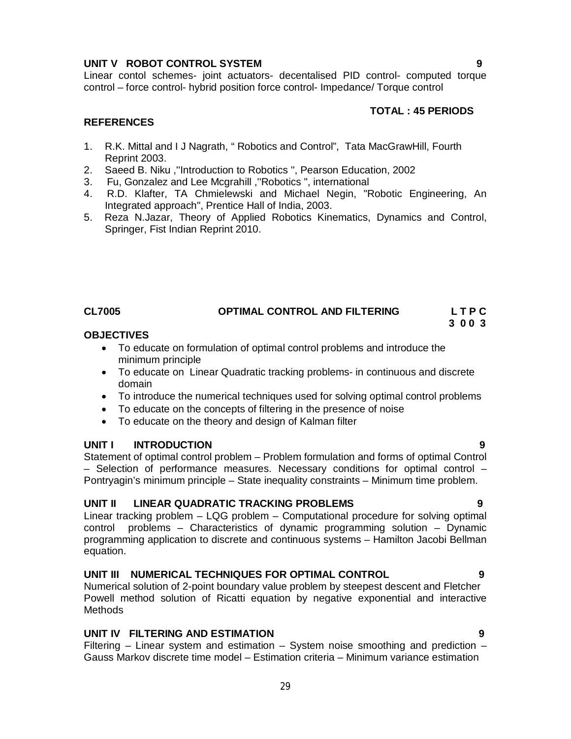# **UNIT V ROBOT CONTROL SYSTEM 9**

Linear contol schemes- joint actuators- decentalised PID control- computed torque control – force control- hybrid position force control- Impedance/ Torque control

### **TOTAL : 45 PERIODS**

## **REFERENCES**

- 1. R.K. Mittal and I J Nagrath, " Robotics and Control", Tata MacGrawHill, Fourth Reprint 2003.
- 2. Saeed B. Niku ,''Introduction to Robotics '', Pearson Education, 2002
- 3. Fu, Gonzalez and Lee Mcgrahill ,''Robotics ", international
- 4. R.D. Klafter, TA Chmielewski and Michael Negin, "Robotic Engineering, An Integrated approach", Prentice Hall of India, 2003.
- 5. Reza N.Jazar, Theory of Applied Robotics Kinematics, Dynamics and Control, Springer, Fist Indian Reprint 2010.

# **CL7005 OPTIMAL CONTROL AND FILTERING L T P C**

# **3 0 0 3**

### **OBJECTIVES**

- To educate on formulation of optimal control problems and introduce the minimum principle
- To educate on Linear Quadratic tracking problems- in continuous and discrete domain
- To introduce the numerical techniques used for solving optimal control problems
- To educate on the concepts of filtering in the presence of noise
- To educate on the theory and design of Kalman filter

#### **UNIT I INTRODUCTION 9**

Statement of optimal control problem – Problem formulation and forms of optimal Control – Selection of performance measures. Necessary conditions for optimal control – Pontryagin's minimum principle – State inequality constraints – Minimum time problem.

#### **UNIT II LINEAR QUADRATIC TRACKING PROBLEMS 9**

Linear tracking problem – LQG problem – Computational procedure for solving optimal control problems – Characteristics of dynamic programming solution – Dynamic programming application to discrete and continuous systems – Hamilton Jacobi Bellman equation.

# **UNIT III NUMERICAL TECHNIQUES FOR OPTIMAL CONTROL 9**

Numerical solution of 2-point boundary value problem by steepest descent and Fletcher Powell method solution of Ricatti equation by negative exponential and interactive **Methods** 

# **UNIT IV FILTERING AND ESTIMATION 9**

Filtering – Linear system and estimation – System noise smoothing and prediction – Gauss Markov discrete time model – Estimation criteria – Minimum variance estimation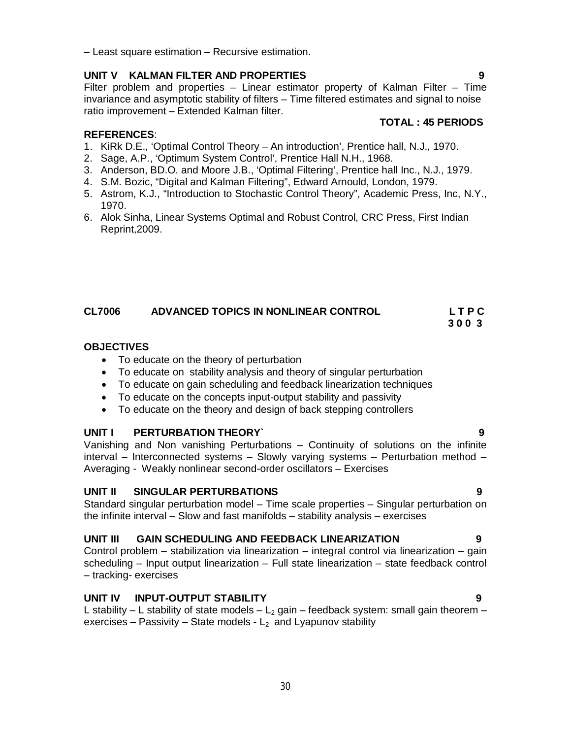– Least square estimation – Recursive estimation.

# **UNIT V KALMAN FILTER AND PROPERTIES 9**

Filter problem and properties – Linear estimator property of Kalman Filter – Time invariance and asymptotic stability of filters – Time filtered estimates and signal to noise ratio improvement – Extended Kalman filter.

# **REFERENCES**:

- 1. KiRk D.E., 'Optimal Control Theory An introduction', Prentice hall, N.J., 1970.
- 2. Sage, A.P., 'Optimum System Control', Prentice Hall N.H., 1968.
- 3. Anderson, BD.O. and Moore J.B., 'Optimal Filtering', Prentice hall Inc., N.J., 1979.
- 4. S.M. Bozic, "Digital and Kalman Filtering", Edward Arnould, London, 1979.
- 5. Astrom, K.J., "Introduction to Stochastic Control Theory", Academic Press, Inc, N.Y., 1970.
- 6. Alok Sinha, Linear Systems Optimal and Robust Control, CRC Press, First Indian Reprint,2009.

# **CL7006 ADVANCED TOPICS IN NONLINEAR CONTROL L T P C**

# **OBJECTIVES**

- To educate on the theory of perturbation
- To educate on stability analysis and theory of singular perturbation
- To educate on gain scheduling and feedback linearization techniques
- To educate on the concepts input-output stability and passivity
- To educate on the theory and design of back stepping controllers

# **UNIT I PERTURBATION THEORY` 9**

Vanishing and Non vanishing Perturbations – Continuity of solutions on the infinite interval – Interconnected systems – Slowly varying systems – Perturbation method – Averaging - Weakly nonlinear second-order oscillators – Exercises

# **UNIT II SINGULAR PERTURBATIONS 9**

Standard singular perturbation model – Time scale properties – Singular perturbation on the infinite interval – Slow and fast manifolds – stability analysis – exercises

# **UNIT III GAIN SCHEDULING AND FEEDBACK LINEARIZATION 9**

Control problem – stabilization via linearization – integral control via linearization – gain scheduling – Input output linearization – Full state linearization – state feedback control – tracking- exercises

# **UNIT IV INPUT-OUTPUT STABILITY 9**

L stability – L stability of state models –  $L_2$  gain – feedback system: small gain theorem – exercises – Passivity – State models -  $L_2$  and Lyapunov stability

# **TOTAL : 45 PERIODS**

**3 0 0 3**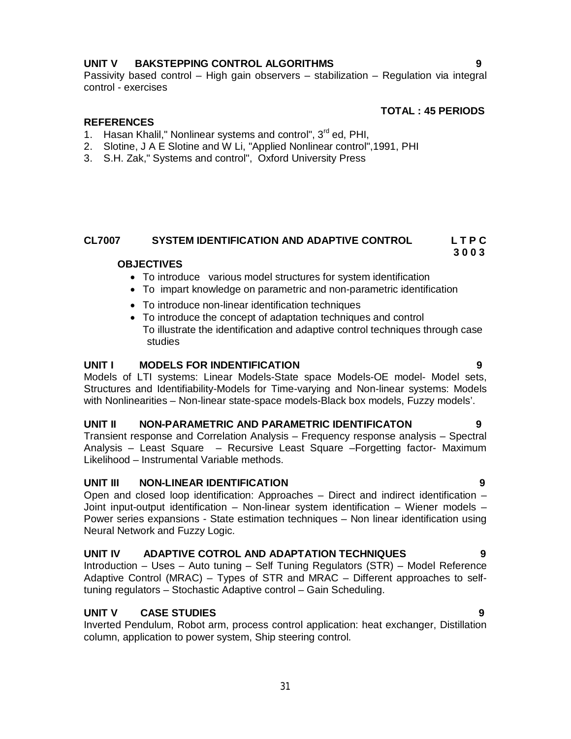# **UNIT V BAKSTEPPING CONTROL ALGORITHMS 9**

Passivity based control – High gain observers – stabilization – Regulation via integral control - exercises

# **TOTAL : 45 PERIODS**

### **REFERENCES**

- 1. Hasan Khalil," Nonlinear systems and control",  $3<sup>rd</sup>$  ed, PHI,
- 2. Slotine, J A E Slotine and W Li, "Applied Nonlinear control",1991, PHI
- 3. S.H. Zak," Systems and control", Oxford University Press

# **CL7007 SYSTEM IDENTIFICATION AND ADAPTIVE CONTROL L T P C**

### **OBJECTIVES**

- To introduce various model structures for system identification
- To impart knowledge on parametric and non-parametric identification
- To introduce non-linear identification techniques
- To introduce the concept of adaptation techniques and control To illustrate the identification and adaptive control techniques through case studies

#### **UNIT I MODELS FOR INDENTIFICATION 9**

Models of LTI systems: Linear Models-State space Models-OE model- Model sets, Structures and Identifiability-Models for Time-varying and Non-linear systems: Models with Nonlinearities – Non-linear state-space models-Black box models, Fuzzy models'.

# **UNIT II NON-PARAMETRIC AND PARAMETRIC IDENTIFICATON 9**

Transient response and Correlation Analysis – Frequency response analysis – Spectral Analysis – Least Square – Recursive Least Square –Forgetting factor- Maximum Likelihood – Instrumental Variable methods.

# **UNIT III NON-LINEAR IDENTIFICATION 9**

Open and closed loop identification: Approaches – Direct and indirect identification – Joint input-output identification – Non-linear system identification – Wiener models – Power series expansions - State estimation techniques – Non linear identification using Neural Network and Fuzzy Logic.

## **UNIT IV ADAPTIVE COTROL AND ADAPTATION TECHNIQUES 9**

Introduction – Uses – Auto tuning – Self Tuning Regulators (STR) – Model Reference Adaptive Control (MRAC) – Types of STR and MRAC – Different approaches to selftuning regulators – Stochastic Adaptive control – Gain Scheduling.

# **UNIT V CASE STUDIES 9**

Inverted Pendulum, Robot arm, process control application: heat exchanger, Distillation column, application to power system, Ship steering control.

 **3 0 0 3**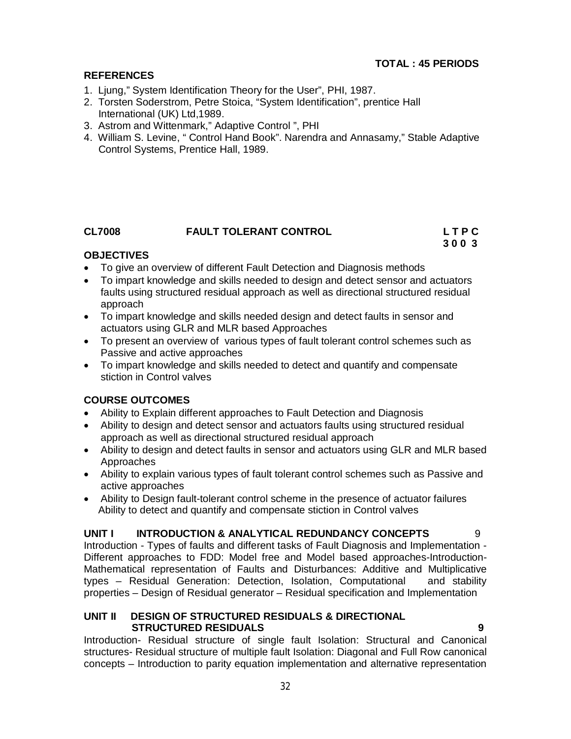# **REFERENCES**

- 1. Ljung," System Identification Theory for the User", PHI, 1987.
- 2. Torsten Soderstrom, Petre Stoica, "System Identification", prentice Hall International (UK) Ltd,1989.
- 3. Astrom and Wittenmark," Adaptive Control ", PHI
- 4. William S. Levine, " Control Hand Book". Narendra and Annasamy," Stable Adaptive Control Systems, Prentice Hall, 1989.

# **CL7008 FAULT TOLERANT CONTROL L T P C**

# **3 0 0 3**

# **OBJECTIVES**

- To give an overview of different Fault Detection and Diagnosis methods
- To impart knowledge and skills needed to design and detect sensor and actuators faults using structured residual approach as well as directional structured residual approach
- To impart knowledge and skills needed design and detect faults in sensor and actuators using GLR and MLR based Approaches
- To present an overview of various types of fault tolerant control schemes such as Passive and active approaches
- To impart knowledge and skills needed to detect and quantify and compensate stiction in Control valves

# **COURSE OUTCOMES**

- Ability to Explain different approaches to Fault Detection and Diagnosis
- Ability to design and detect sensor and actuators faults using structured residual approach as well as directional structured residual approach
- Ability to design and detect faults in sensor and actuators using GLR and MLR based Approaches
- Ability to explain various types of fault tolerant control schemes such as Passive and active approaches
- Ability to Design fault-tolerant control scheme in the presence of actuator failures Ability to detect and quantify and compensate stiction in Control valves

# **UNIT I INTRODUCTION & ANALYTICAL REDUNDANCY CONCEPTS** 9

Introduction - Types of faults and different tasks of Fault Diagnosis and Implementation - Different approaches to FDD: Model free and Model based approaches-Introduction-Mathematical representation of Faults and Disturbances: Additive and Multiplicative types – Residual Generation: Detection, Isolation, Computational and stability properties – Design of Residual generator – Residual specification and Implementation

## **UNIT II DESIGN OF STRUCTURED RESIDUALS & DIRECTIONAL STRUCTURED RESIDUALS 9**

Introduction- Residual structure of single fault Isolation: Structural and Canonical structures- Residual structure of multiple fault Isolation: Diagonal and Full Row canonical concepts – Introduction to parity equation implementation and alternative representation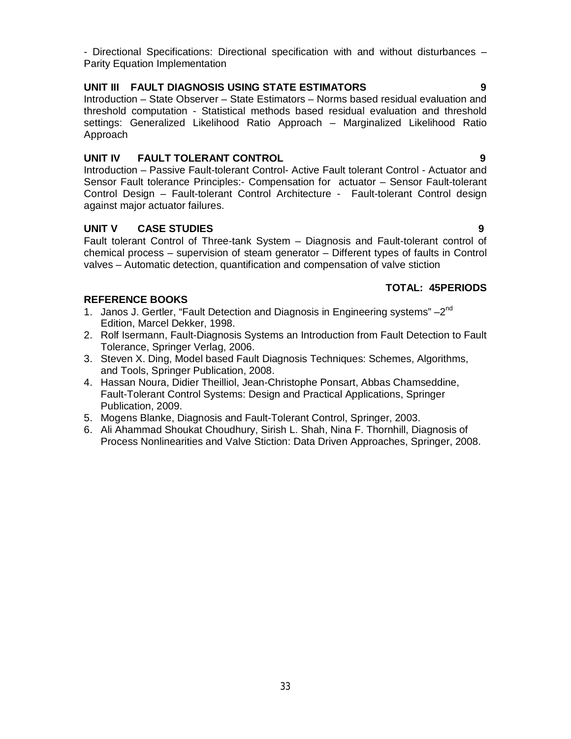- Directional Specifications: Directional specification with and without disturbances – Parity Equation Implementation

# **UNIT III FAULT DIAGNOSIS USING STATE ESTIMATORS 9**

Introduction – State Observer – State Estimators – Norms based residual evaluation and threshold computation - Statistical methods based residual evaluation and threshold settings: Generalized Likelihood Ratio Approach – Marginalized Likelihood Ratio Approach

# **UNIT IV FAULT TOLERANT CONTROL 9**

Introduction – Passive Fault-tolerant Control- Active Fault tolerant Control - Actuator and Sensor Fault tolerance Principles:- Compensation for actuator – Sensor Fault-tolerant Control Design – Fault-tolerant Control Architecture - Fault-tolerant Control design against major actuator failures.

# **UNIT V CASE STUDIES 9**

Fault tolerant Control of Three-tank System – Diagnosis and Fault-tolerant control of chemical process – supervision of steam generator – Different types of faults in Control valves – Automatic detection, quantification and compensation of valve stiction

# **TOTAL: 45PERIODS**

# **REFERENCE BOOKS**

- 1. Janos J. Gertler, "Fault Detection and Diagnosis in Engineering systems" 2<sup>nd</sup> Edition, Marcel Dekker, 1998.
- 2. Rolf Isermann, Fault-Diagnosis Systems an Introduction from Fault Detection to Fault Tolerance, Springer Verlag, 2006.
- 3. Steven X. Ding, Model based Fault Diagnosis Techniques: Schemes, Algorithms, and Tools, Springer Publication, 2008.
- 4. Hassan Noura, Didier Theilliol, Jean-Christophe Ponsart, Abbas Chamseddine, Fault-Tolerant Control Systems: Design and Practical Applications, Springer Publication, 2009.
- 5. Mogens Blanke, Diagnosis and Fault-Tolerant Control, Springer, 2003.
- 6. Ali Ahammad Shoukat Choudhury, Sirish L. Shah, Nina F. Thornhill, Diagnosis of Process Nonlinearities and Valve Stiction: Data Driven Approaches, Springer, 2008.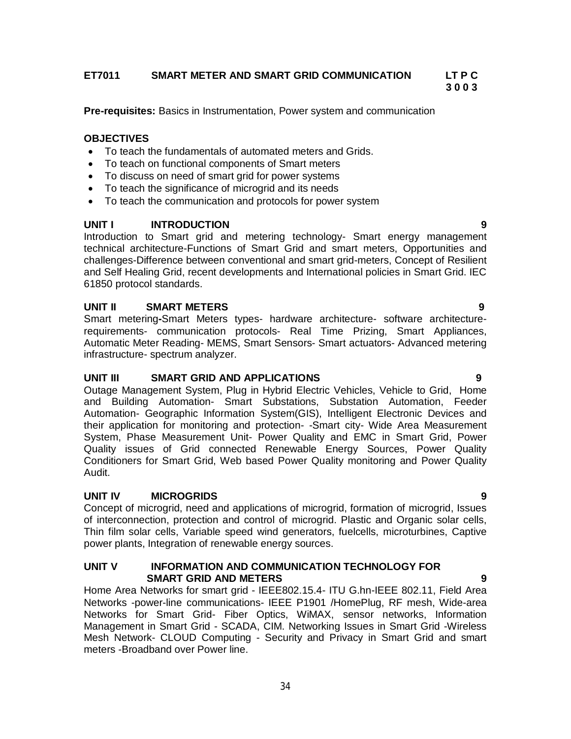# **ET7011 SMART METER AND SMART GRID COMMUNICATION LT P C**

 **3 0 0 3**

**Pre-requisites:** Basics in Instrumentation, Power system and communication

# **OBJECTIVES**

- To teach the fundamentals of automated meters and Grids.
- To teach on functional components of Smart meters
- To discuss on need of smart grid for power systems
- To teach the significance of microgrid and its needs
- To teach the communication and protocols for power system

# **UNIT I INTRODUCTION 9**

Introduction to Smart grid and metering technology- Smart energy management technical architecture-Functions of Smart Grid and smart meters, Opportunities and challenges-Difference between conventional and smart grid-meters, Concept of Resilient and Self Healing Grid, recent developments and International policies in Smart Grid. IEC 61850 protocol standards.

# **UNIT II SMART METERS 9**

Smart metering**-**Smart Meters types- hardware architecture- software architecturerequirements- communication protocols- Real Time Prizing, Smart Appliances, Automatic Meter Reading- MEMS, Smart Sensors- Smart actuators- Advanced metering infrastructure- spectrum analyzer.

# **UNIT III SMART GRID AND APPLICATIONS 9**

Outage Management System, Plug in Hybrid Electric Vehicles, Vehicle to Grid, Home and Building Automation- Smart Substations, Substation Automation, Feeder Automation- Geographic Information System(GIS), Intelligent Electronic Devices and their application for monitoring and protection- -Smart city- Wide Area Measurement System, Phase Measurement Unit- Power Quality and EMC in Smart Grid, Power Quality issues of Grid connected Renewable Energy Sources, Power Quality Conditioners for Smart Grid, Web based Power Quality monitoring and Power Quality Audit.

# **UNIT IV MICROGRIDS 9**

Concept of microgrid, need and applications of microgrid, formation of microgrid, Issues of interconnection, protection and control of microgrid. Plastic and Organic solar cells, Thin film solar cells, Variable speed wind generators, fuelcells, microturbines, Captive power plants, Integration of renewable energy sources.

#### **UNIT V INFORMATION AND COMMUNICATION TECHNOLOGY FOR SMART GRID AND METERS 9**

Home Area Networks for smart grid - IEEE802.15.4- ITU G.hn-IEEE 802.11, Field Area Networks -power-line communications- IEEE P1901 /HomePlug, RF mesh, Wide-area Networks for Smart Grid- Fiber Optics, WiMAX, sensor networks, Information Management in Smart Grid - SCADA, CIM. Networking Issues in Smart Grid -Wireless Mesh Network- CLOUD Computing - Security and Privacy in Smart Grid and smart meters -Broadband over Power line.